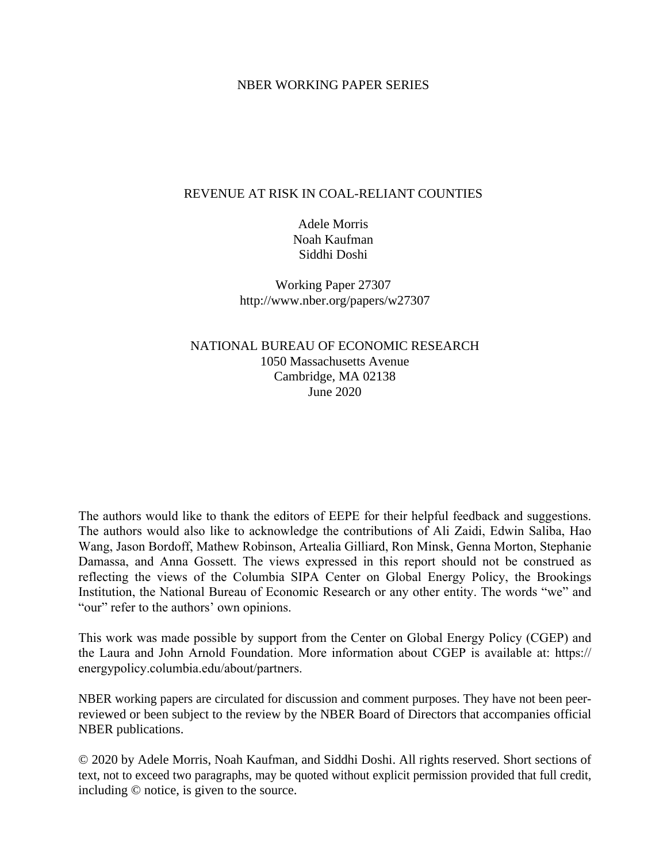#### NBER WORKING PAPER SERIES

#### REVENUE AT RISK IN COAL-RELIANT COUNTIES

Adele Morris Noah Kaufman Siddhi Doshi

Working Paper 27307 http://www.nber.org/papers/w27307

NATIONAL BUREAU OF ECONOMIC RESEARCH 1050 Massachusetts Avenue Cambridge, MA 02138 June 2020

The authors would like to thank the editors of EEPE for their helpful feedback and suggestions. The authors would also like to acknowledge the contributions of Ali Zaidi, Edwin Saliba, Hao Wang, Jason Bordoff, Mathew Robinson, Artealia Gilliard, Ron Minsk, Genna Morton, Stephanie Damassa, and Anna Gossett. The views expressed in this report should not be construed as reflecting the views of the Columbia SIPA Center on Global Energy Policy, the Brookings Institution, the National Bureau of Economic Research or any other entity. The words "we" and "our" refer to the authors' own opinions.

This work was made possible by support from the Center on Global Energy Policy (CGEP) and the Laura and John Arnold Foundation. More information about CGEP is available at: https:// energypolicy.columbia.edu/about/partners.

NBER working papers are circulated for discussion and comment purposes. They have not been peerreviewed or been subject to the review by the NBER Board of Directors that accompanies official NBER publications.

© 2020 by Adele Morris, Noah Kaufman, and Siddhi Doshi. All rights reserved. Short sections of text, not to exceed two paragraphs, may be quoted without explicit permission provided that full credit, including © notice, is given to the source.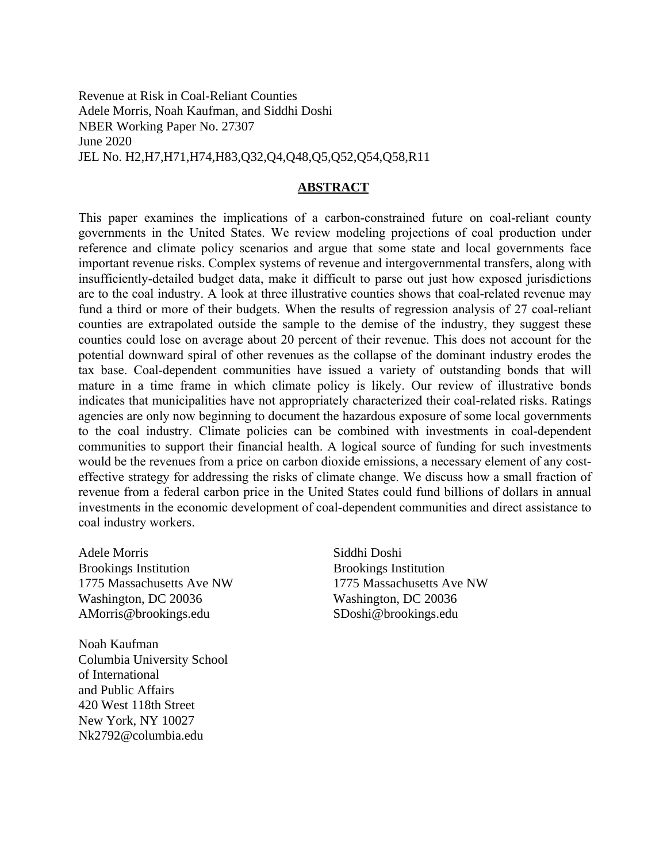Revenue at Risk in Coal-Reliant Counties Adele Morris, Noah Kaufman, and Siddhi Doshi NBER Working Paper No. 27307 June 2020 JEL No. H2,H7,H71,H74,H83,Q32,Q4,Q48,Q5,Q52,Q54,Q58,R11

#### **ABSTRACT**

This paper examines the implications of a carbon-constrained future on coal-reliant county governments in the United States. We review modeling projections of coal production under reference and climate policy scenarios and argue that some state and local governments face important revenue risks. Complex systems of revenue and intergovernmental transfers, along with insufficiently-detailed budget data, make it difficult to parse out just how exposed jurisdictions are to the coal industry. A look at three illustrative counties shows that coal-related revenue may fund a third or more of their budgets. When the results of regression analysis of 27 coal-reliant counties are extrapolated outside the sample to the demise of the industry, they suggest these counties could lose on average about 20 percent of their revenue. This does not account for the potential downward spiral of other revenues as the collapse of the dominant industry erodes the tax base. Coal-dependent communities have issued a variety of outstanding bonds that will mature in a time frame in which climate policy is likely. Our review of illustrative bonds indicates that municipalities have not appropriately characterized their coal-related risks. Ratings agencies are only now beginning to document the hazardous exposure of some local governments to the coal industry. Climate policies can be combined with investments in coal-dependent communities to support their financial health. A logical source of funding for such investments would be the revenues from a price on carbon dioxide emissions, a necessary element of any costeffective strategy for addressing the risks of climate change. We discuss how a small fraction of revenue from a federal carbon price in the United States could fund billions of dollars in annual investments in the economic development of coal-dependent communities and direct assistance to coal industry workers.

Adele Morris Brookings Institution 1775 Massachusetts Ave NW Washington, DC 20036 AMorris@brookings.edu

Noah Kaufman Columbia University School of International and Public Affairs 420 West 118th Street New York, NY 10027 Nk2792@columbia.edu

Siddhi Doshi Brookings Institution 1775 Massachusetts Ave NW Washington, DC 20036 SDoshi@brookings.edu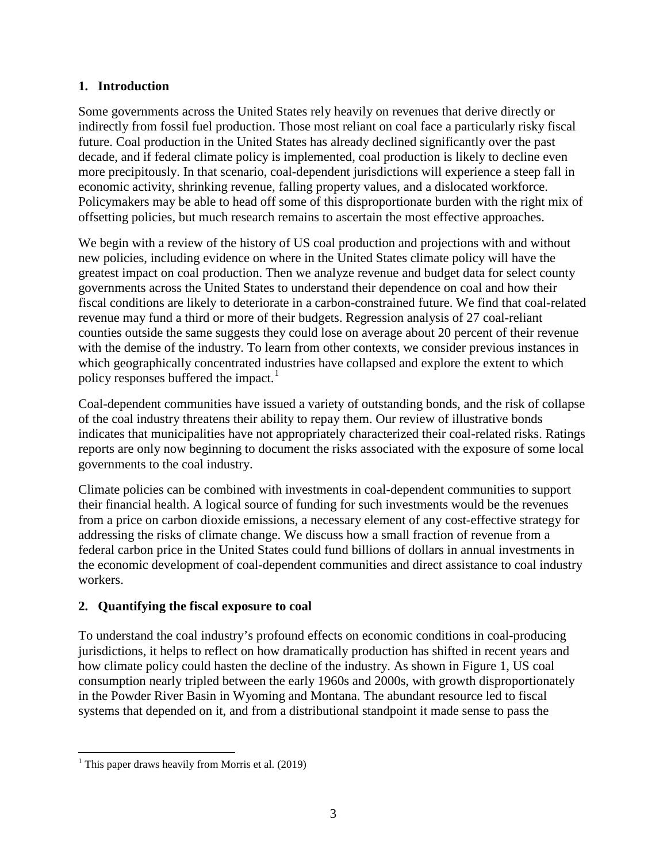## **1. Introduction**

Some governments across the United States rely heavily on revenues that derive directly or indirectly from fossil fuel production. Those most reliant on coal face a particularly risky fiscal future. Coal production in the United States has already declined significantly over the past decade, and if federal climate policy is implemented, coal production is likely to decline even more precipitously. In that scenario, coal-dependent jurisdictions will experience a steep fall in economic activity, shrinking revenue, falling property values, and a dislocated workforce. Policymakers may be able to head off some of this disproportionate burden with the right mix of offsetting policies, but much research remains to ascertain the most effective approaches.

We begin with a review of the history of US coal production and projections with and without new policies, including evidence on where in the United States climate policy will have the greatest impact on coal production. Then we analyze revenue and budget data for select county governments across the United States to understand their dependence on coal and how their fiscal conditions are likely to deteriorate in a carbon-constrained future. We find that coal-related revenue may fund a third or more of their budgets. Regression analysis of 27 coal-reliant counties outside the same suggests they could lose on average about 20 percent of their revenue with the demise of the industry. To learn from other contexts, we consider previous instances in which geographically concentrated industries have collapsed and explore the extent to which policy responses buffered the impact.<sup>[1](#page-2-0)</sup>

Coal-dependent communities have issued a variety of outstanding bonds, and the risk of collapse of the coal industry threatens their ability to repay them. Our review of illustrative bonds indicates that municipalities have not appropriately characterized their coal-related risks. Ratings reports are only now beginning to document the risks associated with the exposure of some local governments to the coal industry.

Climate policies can be combined with investments in coal-dependent communities to support their financial health. A logical source of funding for such investments would be the revenues from a price on carbon dioxide emissions, a necessary element of any cost-effective strategy for addressing the risks of climate change. We discuss how a small fraction of revenue from a federal carbon price in the United States could fund billions of dollars in annual investments in the economic development of coal-dependent communities and direct assistance to coal industry workers.

# **2. Quantifying the fiscal exposure to coal**

To understand the coal industry's profound effects on economic conditions in coal-producing jurisdictions, it helps to reflect on how dramatically production has shifted in recent years and how climate policy could hasten the decline of the industry. As shown in [Figure 1,](#page-3-0) US coal consumption nearly tripled between the early 1960s and 2000s, with growth disproportionately in the Powder River Basin in Wyoming and Montana. The abundant resource led to fiscal systems that depended on it, and from a distributional standpoint it made sense to pass the

<span id="page-2-0"></span><sup>&</sup>lt;sup>1</sup> This paper draws heavily from Morris et al.  $(2019)$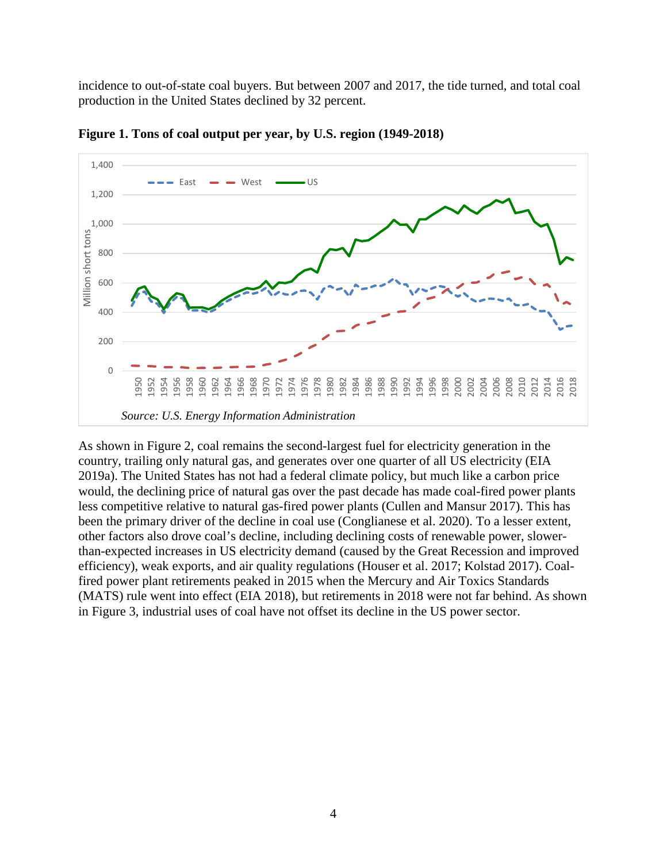incidence to out-of-state coal buyers. But between 2007 and 2017, the tide turned, and total coal production in the United States declined by 32 percent.



<span id="page-3-0"></span>**Figure 1. Tons of coal output per year, by U.S. region (1949-2018)**

As shown in [Figure 2,](#page-4-0) coal remains the second-largest fuel for electricity generation in the country, trailing only natural gas, and generates over one quarter of all US electricity (EIA 2019a). The United States has not had a federal climate policy, but much like a carbon price would, the declining price of natural gas over the past decade has made coal-fired power plants less competitive relative to natural gas-fired power plants (Cullen and Mansur 2017). This has been the primary driver of the decline in coal use (Conglianese et al. 2020). To a lesser extent, other factors also drove coal's decline, including declining costs of renewable power, slowerthan-expected increases in US electricity demand (caused by the Great Recession and improved efficiency), weak exports, and air quality regulations (Houser et al. 2017; Kolstad 2017). Coalfired power plant retirements peaked in 2015 when the Mercury and Air Toxics Standards (MATS) rule went into effect (EIA 2018), but retirements in 2018 were not far behind. As shown in [Figure 3,](#page-4-1) industrial uses of coal have not offset its decline in the US power sector.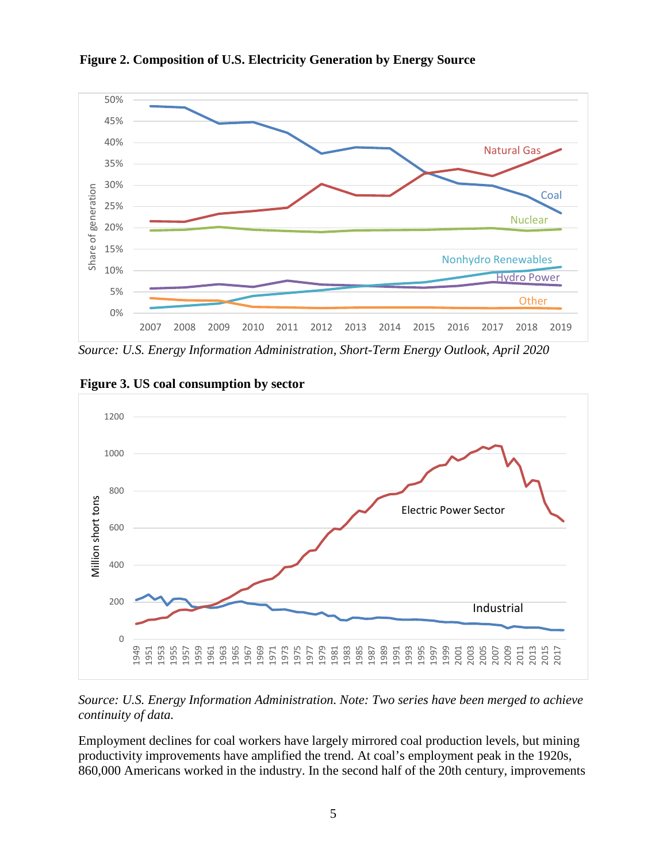

<span id="page-4-0"></span>**Figure 2. Composition of U.S. Electricity Generation by Energy Source**

*Source: U.S. Energy Information Administration, Short-Term Energy Outlook, April 2020*



<span id="page-4-1"></span>**Figure 3. US coal consumption by sector**

*Source: U.S. Energy Information Administration. Note: Two series have been merged to achieve continuity of data.*

Employment declines for coal workers have largely mirrored coal production levels, but mining productivity improvements have amplified the trend. At coal's employment peak in the 1920s, 860,000 Americans worked in the industry. In the second half of the 20th century, improvements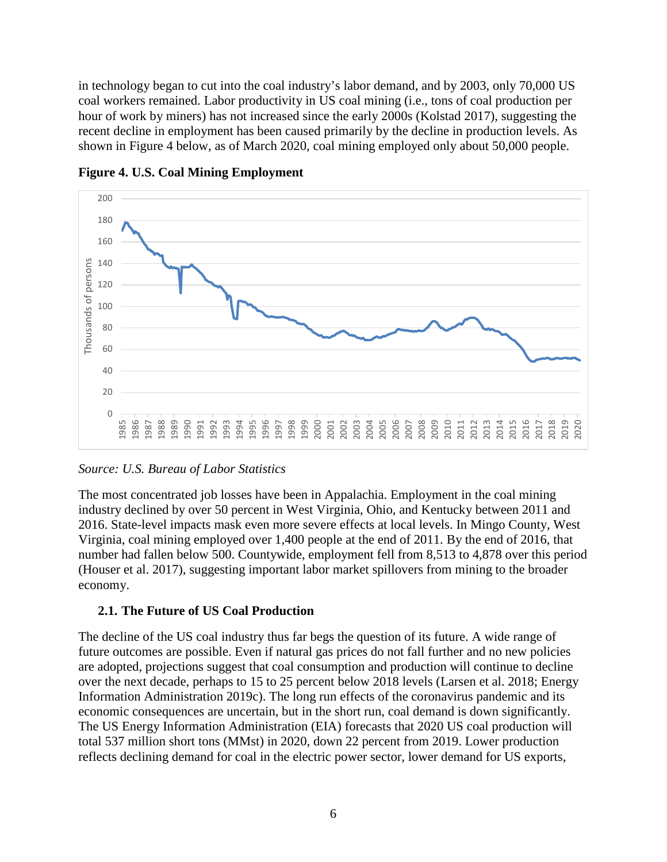in technology began to cut into the coal industry's labor demand, and by 2003, only 70,000 US coal workers remained. Labor productivity in US coal mining (i.e., tons of coal production per hour of work by miners) has not increased since the early 2000s (Kolstad 2017), suggesting the recent decline in employment has been caused primarily by the decline in production levels. As shown in [Figure 4](#page-5-0) below, as of March 2020, coal mining employed only about 50,000 people.



<span id="page-5-0"></span>**Figure 4. U.S. Coal Mining Employment**

## *Source: U.S. Bureau of Labor Statistics*

The most concentrated job losses have been in Appalachia. Employment in the coal mining industry declined by over 50 percent in West Virginia, Ohio, and Kentucky between 2011 and 2016. State-level impacts mask even more severe effects at local levels. In Mingo County, West Virginia, coal mining employed over 1,400 people at the end of 2011. By the end of 2016, that number had fallen below 500. Countywide, employment fell from 8,513 to 4,878 over this period (Houser et al. 2017), suggesting important labor market spillovers from mining to the broader economy.

## **2.1. The Future of US Coal Production**

The decline of the US coal industry thus far begs the question of its future. A wide range of future outcomes are possible. Even if natural gas prices do not fall further and no new policies are adopted, projections suggest that coal consumption and production will continue to decline over the next decade, perhaps to 15 to 25 percent below 2018 levels (Larsen et al. 2018; Energy Information Administration 2019c). The long run effects of the coronavirus pandemic and its economic consequences are uncertain, but in the short run, coal demand is down significantly. The US Energy Information Administration (EIA) forecasts that 2020 US coal production will total 537 million short tons (MMst) in 2020, down 22 percent from 2019. Lower production reflects declining demand for coal in the electric power sector, lower demand for US exports,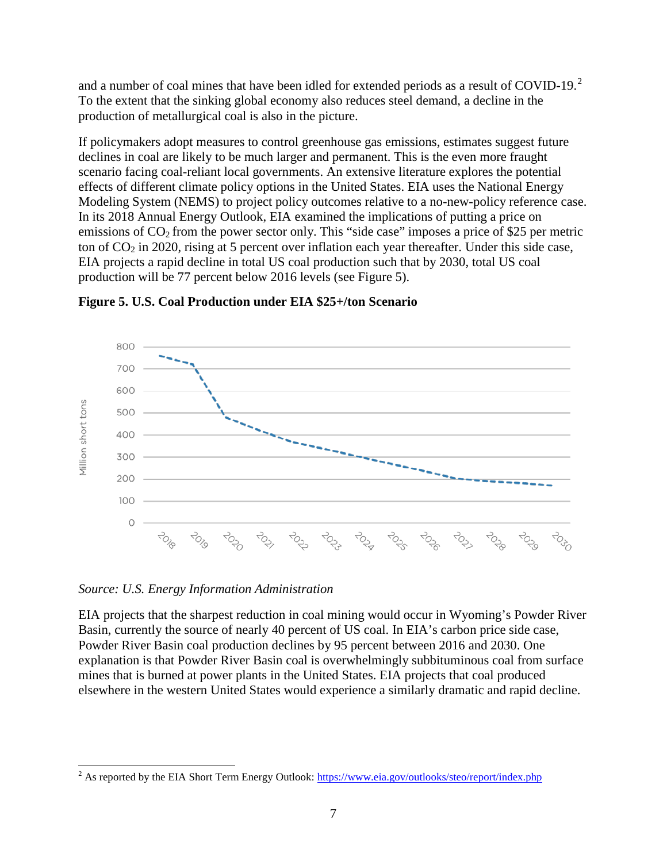and a number of coal mines that have been idled for extended periods as a result of COVID-19. $^{2}$  $^{2}$  $^{2}$ To the extent that the sinking global economy also reduces steel demand, a decline in the production of metallurgical coal is also in the picture.

If policymakers adopt measures to control greenhouse gas emissions, estimates suggest future declines in coal are likely to be much larger and permanent. This is the even more fraught scenario facing coal-reliant local governments. An extensive literature explores the potential effects of different climate policy options in the United States. EIA uses the National Energy Modeling System (NEMS) to project policy outcomes relative to a no-new-policy reference case. In its 2018 Annual Energy Outlook, EIA examined the implications of putting a price on emissions of  $CO<sub>2</sub>$  from the power sector only. This "side case" imposes a price of \$25 per metric ton of  $CO<sub>2</sub>$  in 2020, rising at 5 percent over inflation each year thereafter. Under this side case, EIA projects a rapid decline in total US coal production such that by 2030, total US coal production will be 77 percent below 2016 levels (see [Figure 5\)](#page-6-0).



<span id="page-6-0"></span>**Figure 5. U.S. Coal Production under EIA \$25+/ton Scenario**

*Source: U.S. Energy Information Administration*

EIA projects that the sharpest reduction in coal mining would occur in Wyoming's Powder River Basin, currently the source of nearly 40 percent of US coal. In EIA's carbon price side case, Powder River Basin coal production declines by 95 percent between 2016 and 2030. One explanation is that Powder River Basin coal is overwhelmingly subbituminous coal from surface mines that is burned at power plants in the United States. EIA projects that coal produced elsewhere in the western United States would experience a similarly dramatic and rapid decline.

<span id="page-6-1"></span><sup>&</sup>lt;sup>2</sup> As reported by the EIA Short Term Energy Outlook:<https://www.eia.gov/outlooks/steo/report/index.php>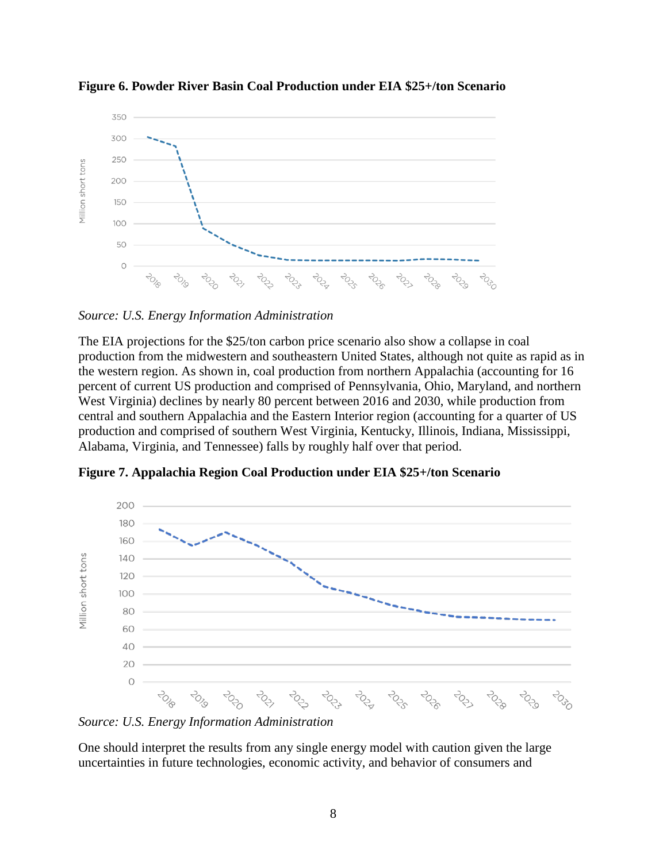

**Figure 6. Powder River Basin Coal Production under EIA \$25+/ton Scenario**

*Source: U.S. Energy Information Administration* 

The EIA projections for the \$25/ton carbon price scenario also show a collapse in coal production from the midwestern and southeastern United States, although not quite as rapid as in the western region. As shown in, coal production from northern Appalachia (accounting for 16 percent of current US production and comprised of Pennsylvania, Ohio, Maryland, and northern West Virginia) declines by nearly 80 percent between 2016 and 2030, while production from central and southern Appalachia and the Eastern Interior region (accounting for a quarter of US production and comprised of southern West Virginia, Kentucky, Illinois, Indiana, Mississippi, Alabama, Virginia, and Tennessee) falls by roughly half over that period.



**Figure 7. Appalachia Region Coal Production under EIA \$25+/ton Scenario**

*Source: U.S. Energy Information Administration* 

One should interpret the results from any single energy model with caution given the large uncertainties in future technologies, economic activity, and behavior of consumers and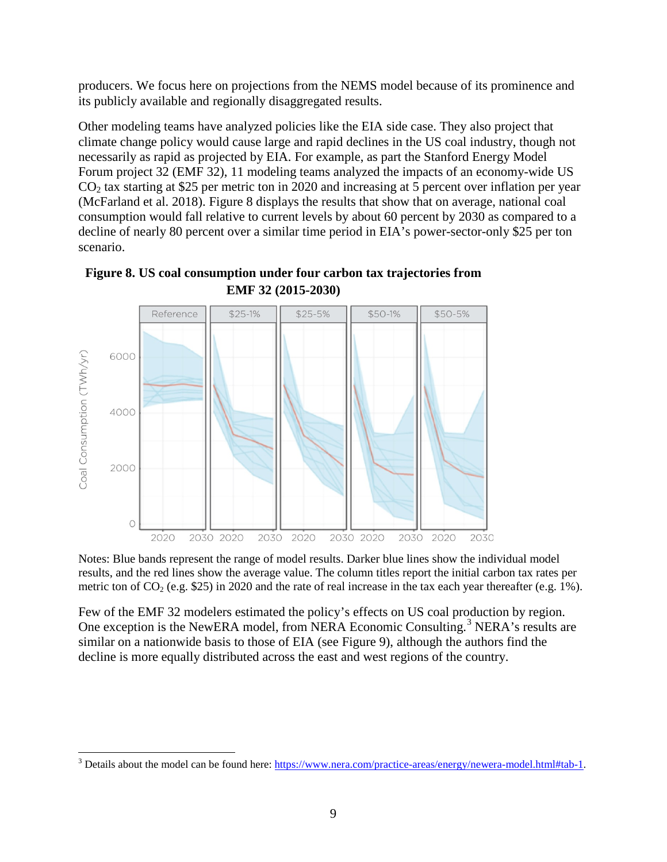producers. We focus here on projections from the NEMS model because of its prominence and its publicly available and regionally disaggregated results.

Other modeling teams have analyzed policies like the EIA side case. They also project that climate change policy would cause large and rapid declines in the US coal industry, though not necessarily as rapid as projected by EIA. For example, as part the Stanford Energy Model Forum project 32 (EMF 32), 11 modeling teams analyzed the impacts of an economy-wide US  $CO<sub>2</sub>$  tax starting at \$25 per metric ton in 2020 and increasing at 5 percent over inflation per year (McFarland et al. 2018). [Figure 8](#page-8-0) displays the results that show that on average, national coal consumption would fall relative to current levels by about 60 percent by 2030 as compared to a decline of nearly 80 percent over a similar time period in EIA's power-sector-only \$25 per ton scenario.



<span id="page-8-0"></span>

Notes: Blue bands represent the range of model results. Darker blue lines show the individual model results, and the red lines show the average value. The column titles report the initial carbon tax rates per metric ton of  $CO_2$  (e.g. \$25) in 2020 and the rate of real increase in the tax each year thereafter (e.g. 1%).

Few of the EMF 32 modelers estimated the policy's effects on US coal production by region. One exception is the NewERA model, from NERA Economic Consulting.<sup>[3](#page-8-1)</sup> NERA's results are similar on a nationwide basis to those of EIA (see Figure 9), although the authors find the decline is more equally distributed across the east and west regions of the country.

<span id="page-8-1"></span><sup>&</sup>lt;sup>3</sup> Details about the model can be found here: [https://www.nera.com/practice-areas/energy/newera-model.html#tab-1.](https://www.nera.com/practice-areas/energy/newera-model.html#tab-1)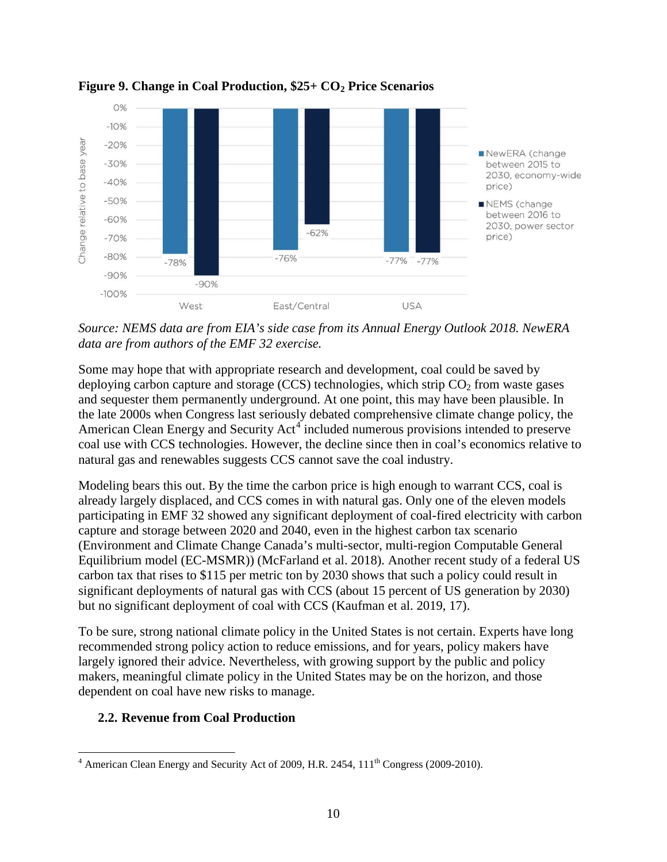

**Figure 9. Change in Coal Production, \$25+ CO2 Price Scenarios**

*Source: NEMS data are from EIA's side case from its Annual Energy Outlook 2018. NewERA data are from authors of the EMF 32 exercise.*

Some may hope that with appropriate research and development, coal could be saved by deploying carbon capture and storage (CCS) technologies, which strip  $CO<sub>2</sub>$  from waste gases and sequester them permanently underground. At one point, this may have been plausible. In the late 2000s when Congress last seriously debated comprehensive climate change policy, the American Clean Energy and Security Act<sup>[4](#page-9-0)</sup> included numerous provisions intended to preserve coal use with CCS technologies. However, the decline since then in coal's economics relative to natural gas and renewables suggests CCS cannot save the coal industry.

Modeling bears this out. By the time the carbon price is high enough to warrant CCS, coal is already largely displaced, and CCS comes in with natural gas. Only one of the eleven models participating in EMF 32 showed any significant deployment of coal-fired electricity with carbon capture and storage between 2020 and 2040, even in the highest carbon tax scenario (Environment and Climate Change Canada's multi-sector, multi-region Computable General Equilibrium model (EC-MSMR)) (McFarland et al. 2018). Another recent study of a federal US carbon tax that rises to \$115 per metric ton by 2030 shows that such a policy could result in significant deployments of natural gas with CCS (about 15 percent of US generation by 2030) but no significant deployment of coal with CCS (Kaufman et al. 2019, 17).

To be sure, strong national climate policy in the United States is not certain. Experts have long recommended strong policy action to reduce emissions, and for years, policy makers have largely ignored their advice. Nevertheless, with growing support by the public and policy makers, meaningful climate policy in the United States may be on the horizon, and those dependent on coal have new risks to manage.

## **2.2. Revenue from Coal Production**

<span id="page-9-0"></span> $4$  American Clean Energy and Security Act of 2009, H.R. 2454,  $111<sup>th</sup>$  Congress (2009-2010).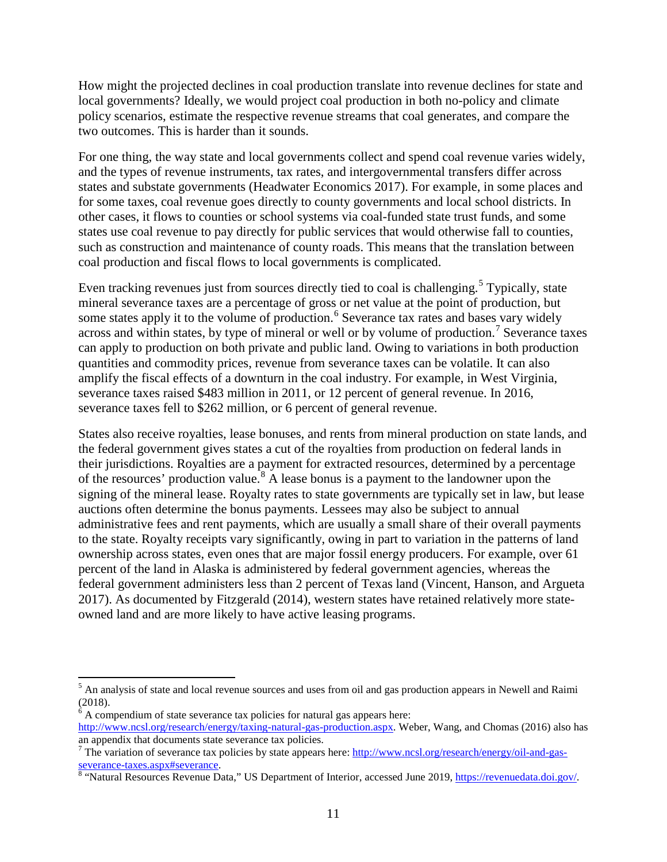How might the projected declines in coal production translate into revenue declines for state and local governments? Ideally, we would project coal production in both no-policy and climate policy scenarios, estimate the respective revenue streams that coal generates, and compare the two outcomes. This is harder than it sounds.

For one thing, the way state and local governments collect and spend coal revenue varies widely, and the types of revenue instruments, tax rates, and intergovernmental transfers differ across states and substate governments (Headwater Economics 2017). For example, in some places and for some taxes, coal revenue goes directly to county governments and local school districts. In other cases, it flows to counties or school systems via coal-funded state trust funds, and some states use coal revenue to pay directly for public services that would otherwise fall to counties, such as construction and maintenance of county roads. This means that the translation between coal production and fiscal flows to local governments is complicated.

Even tracking revenues just from sources directly tied to coal is challenging.<sup>[5](#page-10-0)</sup> Typically, state mineral severance taxes are a percentage of gross or net value at the point of production, but some states apply it to the volume of production.<sup>[6](#page-10-1)</sup> Severance tax rates and bases vary widely across and within states, by type of mineral or well or by volume of production.<sup>[7](#page-10-2)</sup> Severance taxes can apply to production on both private and public land. Owing to variations in both production quantities and commodity prices, revenue from severance taxes can be volatile. It can also amplify the fiscal effects of a downturn in the coal industry. For example, in West Virginia, severance taxes raised \$483 million in 2011, or 12 percent of general revenue. In 2016, severance taxes fell to \$262 million, or 6 percent of general revenue.

States also receive royalties, lease bonuses, and rents from mineral production on state lands, and the federal government gives states a cut of the royalties from production on federal lands in their jurisdictions. Royalties are a payment for extracted resources, determined by a percentage of the resources' production value.<sup>[8](#page-10-3)</sup> A lease bonus is a payment to the landowner upon the signing of the mineral lease. Royalty rates to state governments are typically set in law, but lease auctions often determine the bonus payments. Lessees may also be subject to annual administrative fees and rent payments, which are usually a small share of their overall payments to the state. Royalty receipts vary significantly, owing in part to variation in the patterns of land ownership across states, even ones that are major fossil energy producers. For example, over 61 percent of the land in Alaska is administered by federal government agencies, whereas the federal government administers less than 2 percent of Texas land (Vincent, Hanson, and Argueta 2017). As documented by Fitzgerald (2014), western states have retained relatively more stateowned land and are more likely to have active leasing programs.

<span id="page-10-0"></span><sup>&</sup>lt;sup>5</sup> An analysis of state and local revenue sources and uses from oil and gas production appears in Newell and Raimi (2018).

<span id="page-10-1"></span> $6$  A compendium of state severance tax policies for natural gas appears here: [http://www.ncsl.org/research/energy/taxing-natural-gas-production.aspx.](http://www.ncsl.org/research/energy/taxing-natural-gas-production.aspx) Weber, Wang, and Chomas (2016) also has

<span id="page-10-2"></span>an appendix that documents state severance tax policies.<br><sup>7</sup> The variation of severance tax policies by state appears here: http://www.ncsl.org/research/energy/oil-and-gas-<br>severance-taxes.aspx#severance.

<span id="page-10-3"></span> $\overline{\text{8}}$  $\overline{\text{8}}$  $\overline{\text{8}}$  "Natural Resources Revenue Data," US Department of Interior, accessed June 2019, [https://revenuedata.doi.gov/.](https://revenuedata.doi.gov/)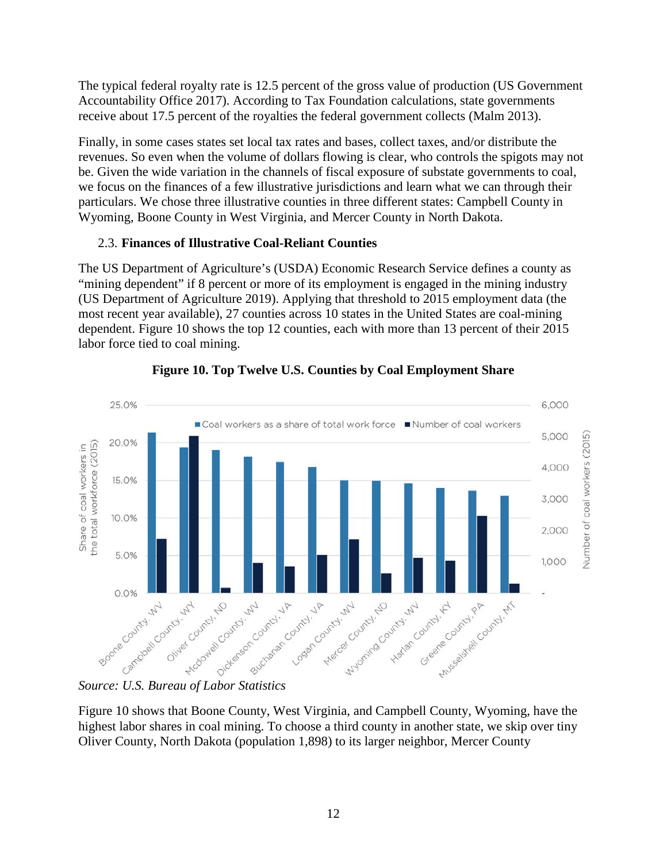The typical federal royalty rate is 12.5 percent of the gross value of production (US Government Accountability Office 2017). According to Tax Foundation calculations, state governments receive about 17.5 percent of the royalties the federal government collects (Malm 2013).

Finally, in some cases states set local tax rates and bases, collect taxes, and/or distribute the revenues. So even when the volume of dollars flowing is clear, who controls the spigots may not be. Given the wide variation in the channels of fiscal exposure of substate governments to coal, we focus on the finances of a few illustrative jurisdictions and learn what we can through their particulars. We chose three illustrative counties in three different states: Campbell County in Wyoming, Boone County in West Virginia, and Mercer County in North Dakota.

# 2.3. **Finances of Illustrative Coal-Reliant Counties**

The US Department of Agriculture's (USDA) Economic Research Service defines a county as "mining dependent" if 8 percent or more of its employment is engaged in the mining industry (US Department of Agriculture 2019). Applying that threshold to 2015 employment data (the most recent year available), 27 counties across 10 states in the United States are coal-mining dependent. Figure 10 shows the top 12 counties, each with more than 13 percent of their 2015 labor force tied to coal mining.

<span id="page-11-0"></span>



# *Source: U.S. Bureau of Labor Statistics*

[Figure 10](#page-11-0) shows that Boone County, West Virginia, and Campbell County, Wyoming, have the highest labor shares in coal mining. To choose a third county in another state, we skip over tiny Oliver County, North Dakota (population 1,898) to its larger neighbor, Mercer County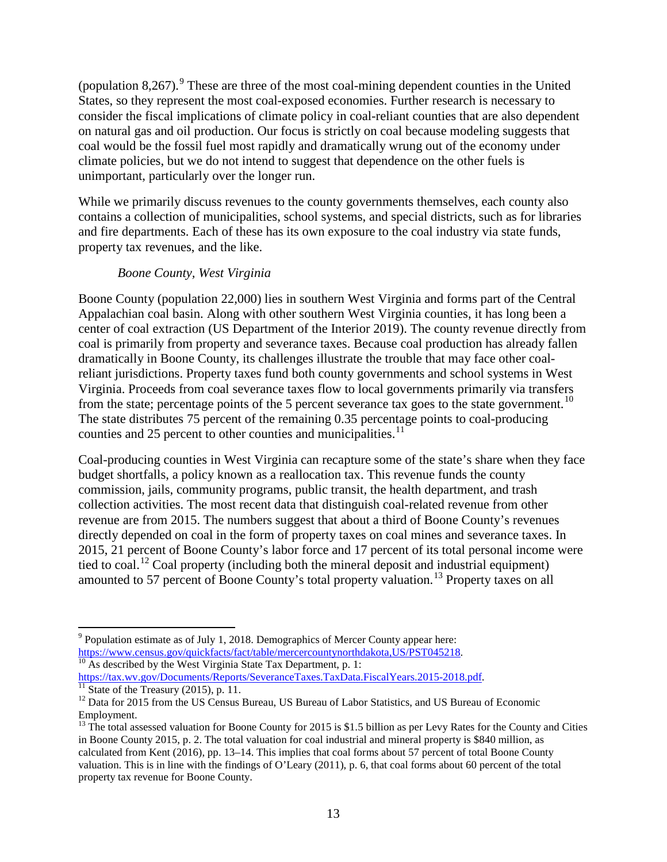(population 8.267).<sup>[9](#page-12-0)</sup> These are three of the most coal-mining dependent counties in the United States, so they represent the most coal-exposed economies. Further research is necessary to consider the fiscal implications of climate policy in coal-reliant counties that are also dependent on natural gas and oil production. Our focus is strictly on coal because modeling suggests that coal would be the fossil fuel most rapidly and dramatically wrung out of the economy under climate policies, but we do not intend to suggest that dependence on the other fuels is unimportant, particularly over the longer run.

While we primarily discuss revenues to the county governments themselves, each county also contains a collection of municipalities, school systems, and special districts, such as for libraries and fire departments. Each of these has its own exposure to the coal industry via state funds, property tax revenues, and the like.

#### *Boone County, West Virginia*

Boone County (population 22,000) lies in southern West Virginia and forms part of the Central Appalachian coal basin. Along with other southern West Virginia counties, it has long been a center of coal extraction (US Department of the Interior 2019). The county revenue directly from coal is primarily from property and severance taxes. Because coal production has already fallen dramatically in Boone County, its challenges illustrate the trouble that may face other coalreliant jurisdictions. Property taxes fund both county governments and school systems in West Virginia. Proceeds from coal severance taxes flow to local governments primarily via transfers from the state; percentage points of the 5 percent severance tax goes to the state government.<sup>[10](#page-12-1)</sup> The state distributes 75 percent of the remaining 0.35 percentage points to coal-producing counties and 25 percent to other counties and municipalities.<sup>[11](#page-12-2)</sup>

Coal-producing counties in West Virginia can recapture some of the state's share when they face budget shortfalls, a policy known as a reallocation tax. This revenue funds the county commission, jails, community programs, public transit, the health department, and trash collection activities. The most recent data that distinguish coal-related revenue from other revenue are from 2015. The numbers suggest that about a third of Boone County's revenues directly depended on coal in the form of property taxes on coal mines and severance taxes. In 2015, 21 percent of Boone County's labor force and 17 percent of its total personal income were tied to coal.<sup>[12](#page-12-3)</sup> Coal property (including both the mineral deposit and industrial equipment) amounted to 57 percent of Boone County's total property valuation.<sup>[13](#page-12-4)</sup> Property taxes on all

<span id="page-12-0"></span><sup>&</sup>lt;sup>9</sup> Population estimate as of July 1, 2018. Demographics of Mercer County appear here:<br>https://www.census.gov/quickfacts/fact/table/mercercountynorthdakota, US/PST045218.

<span id="page-12-1"></span>https://tax.wv.gov/Documents/Reports/SeveranceTaxes.TaxData.FiscalYears.2015-2018.pdf.

<span id="page-12-3"></span><span id="page-12-2"></span><sup>&</sup>lt;sup>11</sup> State of the Treasury (2015), p. 11.<br><sup>12</sup> Data for 2015 from the US Census Bureau, US Bureau of Labor Statistics, and US Bureau of Economic Employment.

<span id="page-12-4"></span><sup>&</sup>lt;sup>13</sup> The total assessed valuation for Boone County for 2015 is \$1.5 billion as per Levy Rates for the County and Cities in Boone County 2015, p. 2. The total valuation for coal industrial and mineral property is \$840 million, as calculated from Kent (2016), pp. 13–14. This implies that coal forms about 57 percent of total Boone County valuation. This is in line with the findings of O'Leary (2011), p. 6, that coal forms about 60 percent of the total property tax revenue for Boone County.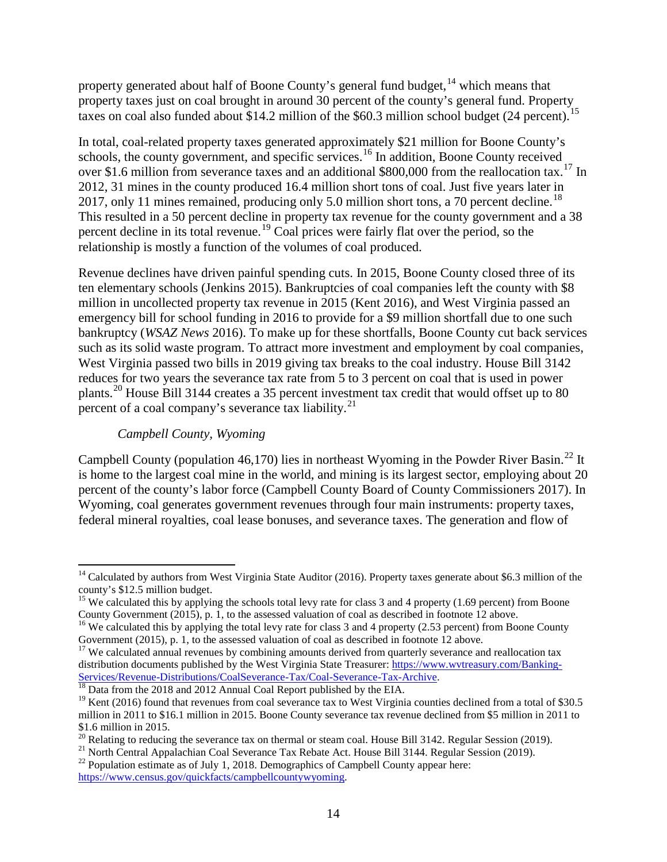property generated about half of Boone County's general fund budget, <sup>[14](#page-13-0)</sup> which means that property taxes just on coal brought in around 30 percent of the county's general fund. Property taxes on coal also funded about \$14.2 million of the \$60.3 million school budget (24 percent).<sup>[15](#page-13-1)</sup>

In total, coal-related property taxes generated approximately \$21 million for Boone County's schools, the county government, and specific services.<sup>[16](#page-13-2)</sup> In addition, Boone County received over \$1.6 million from severance taxes and an additional \$800,000 from the reallocation tax.<sup>[17](#page-13-3)</sup> In 2012, 31 mines in the county produced 16.4 million short tons of coal. Just five years later in 2017, only 11 mines remained, producing only 5.0 million short tons, a 70 percent decline.<sup>[18](#page-13-4)</sup> This resulted in a 50 percent decline in property tax revenue for the county government and a 38 percent decline in its total revenue.<sup>[19](#page-13-5)</sup> Coal prices were fairly flat over the period, so the relationship is mostly a function of the volumes of coal produced.

Revenue declines have driven painful spending cuts. In 2015, Boone County closed three of its ten elementary schools (Jenkins 2015). Bankruptcies of coal companies left the county with \$8 million in uncollected property tax revenue in 2015 (Kent 2016), and West Virginia passed an emergency bill for school funding in 2016 to provide for a \$9 million shortfall due to one such bankruptcy (*WSAZ News* 2016). To make up for these shortfalls, Boone County cut back services such as its solid waste program. To attract more investment and employment by coal companies, West Virginia passed two bills in 2019 giving tax breaks to the coal industry. House Bill 3142 reduces for two years the severance tax rate from 5 to 3 percent on coal that is used in power plants.<sup>[20](#page-13-6)</sup> House Bill 3144 creates a 35 percent investment tax credit that would offset up to 80 percent of a coal company's severance tax liability. $^{21}$  $^{21}$  $^{21}$ 

#### *Campbell County, Wyoming*

Campbell County (population 46,170) lies in northeast Wyoming in the Powder River Basin.<sup>[22](#page-13-8)</sup> It is home to the largest coal mine in the world, and mining is its largest sector, employing about 20 percent of the county's labor force (Campbell County Board of County Commissioners 2017). In Wyoming, coal generates government revenues through four main instruments: property taxes, federal mineral royalties, coal lease bonuses, and severance taxes. The generation and flow of

<span id="page-13-0"></span><sup>&</sup>lt;sup>14</sup> Calculated by authors from West Virginia State Auditor (2016). Property taxes generate about \$6.3 million of the county's \$12.5 million budget.

<span id="page-13-1"></span><sup>&</sup>lt;sup>15</sup> We calculated this by applying the schools total levy rate for class 3 and 4 property (1.69 percent) from Boone County Government (2015), p. 1, to the assessed valuation of coal as described in footnote 12 above.

<span id="page-13-2"></span><sup>&</sup>lt;sup>16</sup> We calculated this by applying the total levy rate for class 3 and 4 property (2.53 percent) from Boone County Government (2015), p. 1, to the assessed valuation of coal as described in footnote 12 above.

<span id="page-13-3"></span><sup>&</sup>lt;sup>17</sup> We calculated annual revenues by combining amounts derived from quarterly severance and reallocation tax distribution documents published by the West Virginia State Treasurer: [https://www.wvtreasury.com/Banking-](https://www.wvtreasury.com/Banking-Services/Revenue-Distributions/CoalSeverance-Tax/Coal-Severance-Tax-Archive)Services/Revenue-Distributions/CoalSeverance-Tax/Coal-Severance-Tax-Archive.<br><sup>18</sup> Data from the 2018 and 2012 Annual Coal Report published by the EIA.

<span id="page-13-4"></span>

<span id="page-13-5"></span><sup>&</sup>lt;sup>19</sup> Kent (2016) found that revenues from coal severance tax to West Virginia counties declined from a total of \$30.5 million in 2011 to \$16.1 million in 2015. Boone County severance tax revenue declined from \$5 million in 2011 to \$1.6 million in 2015.<br><sup>20</sup> Relating to reducing the severance tax on thermal or steam coal. House Bill 3142. Regular Session (2019).

<span id="page-13-6"></span>

<span id="page-13-7"></span><sup>&</sup>lt;sup>21</sup> North Central Appalachian Coal Severance Tax Rebate Act. House Bill 3144. Regular Session (2019).<br><sup>22</sup> Population estimate as of July 1, 2018. Demographics of Campbell County appear here:

<span id="page-13-8"></span>[https://www.census.gov/quickfacts/campbellcountywyoming.](https://www.census.gov/quickfacts/campbellcountywyoming)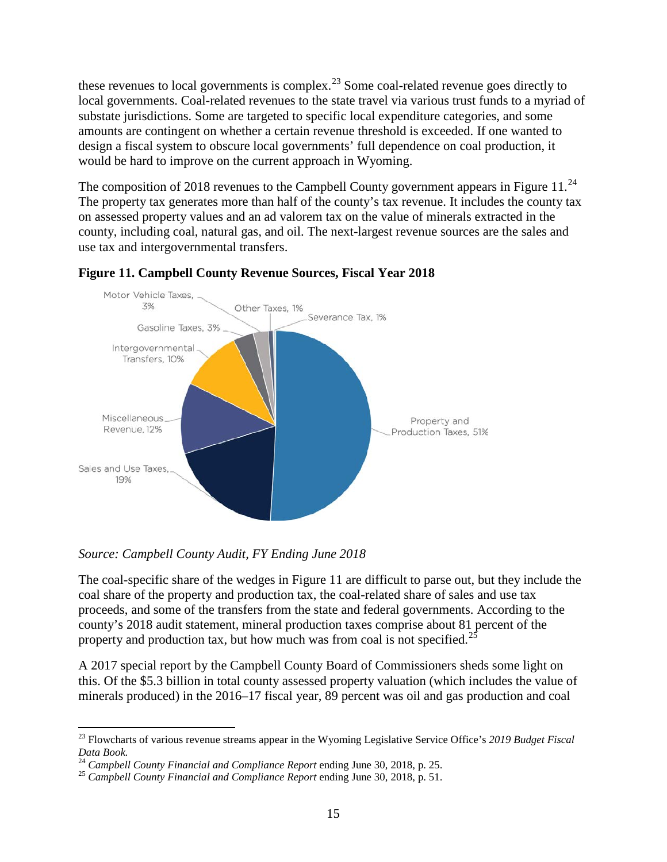these revenues to local governments is complex.<sup>[23](#page-14-0)</sup> Some coal-related revenue goes directly to local governments. Coal-related revenues to the state travel via various trust funds to a myriad of substate jurisdictions. Some are targeted to specific local expenditure categories, and some amounts are contingent on whether a certain revenue threshold is exceeded. If one wanted to design a fiscal system to obscure local governments' full dependence on coal production, it would be hard to improve on the current approach in Wyoming.

The composition of 2018 revenues to the Campbell County government appears in Figure 11.<sup>[24](#page-14-1)</sup> The property tax generates more than half of the county's tax revenue. It includes the county tax on assessed property values and an ad valorem tax on the value of minerals extracted in the county, including coal, natural gas, and oil. The next-largest revenue sources are the sales and use tax and intergovernmental transfers.



#### **Figure 11. Campbell County Revenue Sources, Fiscal Year 2018**

*Source: Campbell County Audit, FY Ending June 2018*

The coal-specific share of the wedges in Figure 11 are difficult to parse out, but they include the coal share of the property and production tax, the coal-related share of sales and use tax proceeds, and some of the transfers from the state and federal governments. According to the county's 2018 audit statement, mineral production taxes comprise about 81 percent of the property and production tax, but how much was from coal is not specified.<sup>[25](#page-14-2)</sup>

A 2017 special report by the Campbell County Board of Commissioners sheds some light on this. Of the \$5.3 billion in total county assessed property valuation (which includes the value of minerals produced) in the 2016–17 fiscal year, 89 percent was oil and gas production and coal

<span id="page-14-0"></span><sup>23</sup> Flowcharts of various revenue streams appear in the Wyoming Legislative Service Office's *2019 Budget Fiscal*  Data Book.<br><sup>24</sup> Campbell County Financial and Compliance Report ending June 30, 2018, p. 25.

<span id="page-14-1"></span>

<span id="page-14-2"></span><sup>&</sup>lt;sup>25</sup> *Campbell County Financial and Compliance Report* ending June 30, 2018, p. 51.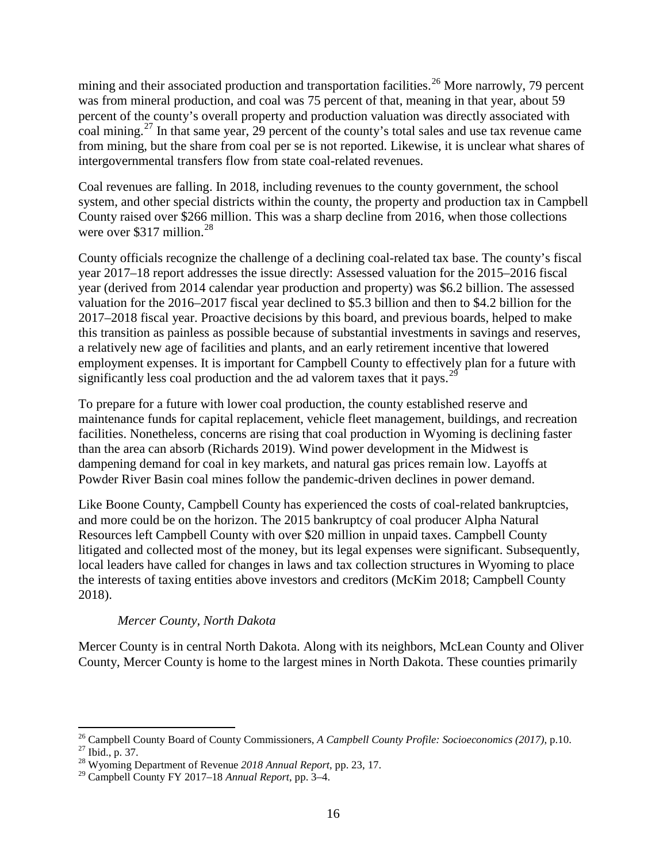mining and their associated production and transportation facilities.<sup>[26](#page-15-0)</sup> More narrowly, 79 percent was from mineral production, and coal was 75 percent of that, meaning in that year, about 59 percent of the county's overall property and production valuation was directly associated with coal mining.[27](#page-15-1) In that same year, 29 percent of the county's total sales and use tax revenue came from mining, but the share from coal per se is not reported. Likewise, it is unclear what shares of intergovernmental transfers flow from state coal-related revenues.

Coal revenues are falling. In 2018, including revenues to the county government, the school system, and other special districts within the county, the property and production tax in Campbell County raised over \$266 million. This was a sharp decline from 2016, when those collections were over \$317 million. $^{28}$  $^{28}$  $^{28}$ 

County officials recognize the challenge of a declining coal-related tax base. The county's fiscal year 2017–18 report addresses the issue directly: Assessed valuation for the 2015–2016 fiscal year (derived from 2014 calendar year production and property) was \$6.2 billion. The assessed valuation for the 2016–2017 fiscal year declined to \$5.3 billion and then to \$4.2 billion for the 2017–2018 fiscal year. Proactive decisions by this board, and previous boards, helped to make this transition as painless as possible because of substantial investments in savings and reserves, a relatively new age of facilities and plants, and an early retirement incentive that lowered employment expenses. It is important for Campbell County to effectively plan for a future with significantly less coal production and the ad valorem taxes that it pays.<sup>[29](#page-15-3)</sup>

To prepare for a future with lower coal production, the county established reserve and maintenance funds for capital replacement, vehicle fleet management, buildings, and recreation facilities. Nonetheless, concerns are rising that coal production in Wyoming is declining faster than the area can absorb (Richards 2019). Wind power development in the Midwest is dampening demand for coal in key markets, and natural gas prices remain low. Layoffs at Powder River Basin coal mines follow the pandemic-driven declines in power demand.

Like Boone County, Campbell County has experienced the costs of coal-related bankruptcies, and more could be on the horizon. The 2015 bankruptcy of coal producer Alpha Natural Resources left Campbell County with over \$20 million in unpaid taxes. Campbell County litigated and collected most of the money, but its legal expenses were significant. Subsequently, local leaders have called for changes in laws and tax collection structures in Wyoming to place the interests of taxing entities above investors and creditors (McKim 2018; Campbell County 2018).

## *Mercer County, North Dakota*

Mercer County is in central North Dakota. Along with its neighbors, McLean County and Oliver County, Mercer County is home to the largest mines in North Dakota. These counties primarily

<span id="page-15-1"></span><span id="page-15-0"></span><sup>26</sup> Campbell County Board of County Commissioners, *A Campbell County Profile: Socioeconomics (2017)*, p.10. <sup>27</sup> Ibid., p. 37. <sup>28</sup> Wyoming Department of Revenue *2018 Annual Report*, pp. 23, 17.

<span id="page-15-3"></span><span id="page-15-2"></span><sup>29</sup> Campbell County FY 2017–18 *Annual Report*, pp. 3–4.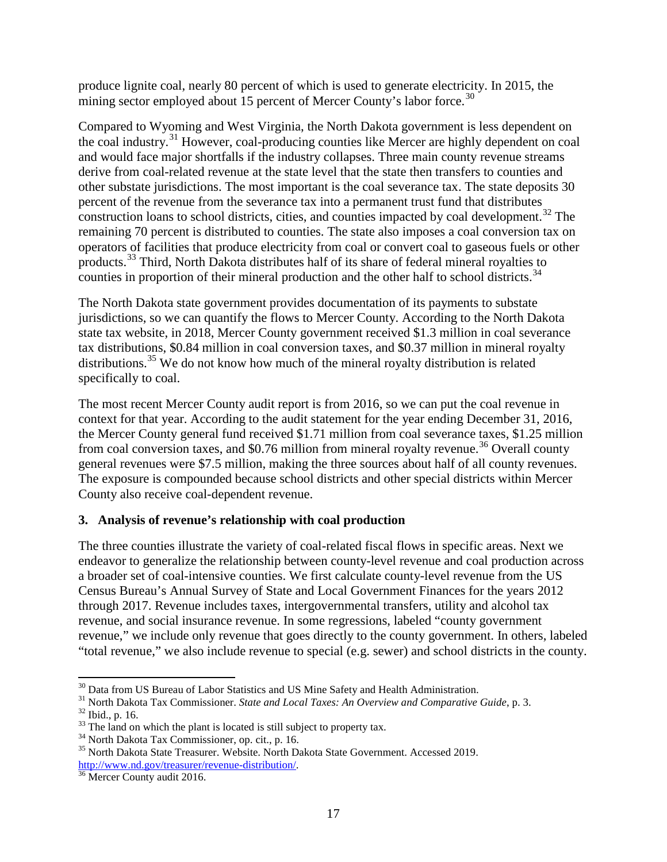produce lignite coal, nearly 80 percent of which is used to generate electricity. In 2015, the mining sector employed about 15 percent of Mercer County's labor force.<sup>[30](#page-16-0)</sup>

Compared to Wyoming and West Virginia, the North Dakota government is less dependent on the coal industry.<sup>[31](#page-16-1)</sup> However, coal-producing counties like Mercer are highly dependent on coal and would face major shortfalls if the industry collapses. Three main county revenue streams derive from coal-related revenue at the state level that the state then transfers to counties and other substate jurisdictions. The most important is the coal severance tax. The state deposits 30 percent of the revenue from the severance tax into a permanent trust fund that distributes construction loans to school districts, cities, and counties impacted by coal development.<sup>[32](#page-16-2)</sup> The remaining 70 percent is distributed to counties. The state also imposes a coal conversion tax on operators of facilities that produce electricity from coal or convert coal to gaseous fuels or other products.<sup>[33](#page-16-3)</sup> Third, North Dakota distributes half of its share of federal mineral royalties to counties in proportion of their mineral production and the other half to school districts.<sup>[34](#page-16-4)</sup>

The North Dakota state government provides documentation of its payments to substate jurisdictions, so we can quantify the flows to Mercer County. According to the North Dakota state tax website, in 2018, Mercer County government received \$1.3 million in coal severance tax distributions, \$0.84 million in coal conversion taxes, and \$0.37 million in mineral royalty distributions.<sup>[35](#page-16-5)</sup> We do not know how much of the mineral royalty distribution is related specifically to coal.

The most recent Mercer County audit report is from 2016, so we can put the coal revenue in context for that year. According to the audit statement for the year ending December 31, 2016, the Mercer County general fund received \$1.71 million from coal severance taxes, \$1.25 million from coal conversion taxes, and \$0.76 million from mineral royalty revenue.<sup>[36](#page-16-6)</sup> Overall county general revenues were \$7.5 million, making the three sources about half of all county revenues. The exposure is compounded because school districts and other special districts within Mercer County also receive coal-dependent revenue.

## **3. Analysis of revenue's relationship with coal production**

The three counties illustrate the variety of coal-related fiscal flows in specific areas. Next we endeavor to generalize the relationship between county-level revenue and coal production across a broader set of coal-intensive counties. We first calculate county-level revenue from the US Census Bureau's Annual Survey of State and Local Government Finances for the years 2012 through 2017. Revenue includes taxes, intergovernmental transfers, utility and alcohol tax revenue, and social insurance revenue. In some regressions, labeled "county government revenue," we include only revenue that goes directly to the county government. In others, labeled "total revenue," we also include revenue to special (e.g. sewer) and school districts in the county.

<span id="page-16-1"></span><span id="page-16-0"></span><sup>&</sup>lt;sup>30</sup> Data from US Bureau of Labor Statistics and US Mine Safety and Health Administration.<br><sup>31</sup> North Dakota Tax Commissioner. *State and Local Taxes: An Overview and Comparative Guide*, p. 3.<br><sup>32</sup> Ibid., p. 16.<br><sup>33</sup> The

<span id="page-16-3"></span><span id="page-16-2"></span>

<span id="page-16-5"></span><span id="page-16-4"></span>[http://www.nd.gov/treasurer/revenue-distribution/.](http://www.nd.gov/treasurer/revenue-distribution/)<br><sup>[36](http://www.nd.gov/treasurer/revenue-distribution/)</sup> Mercer County audit 2016.

<span id="page-16-6"></span>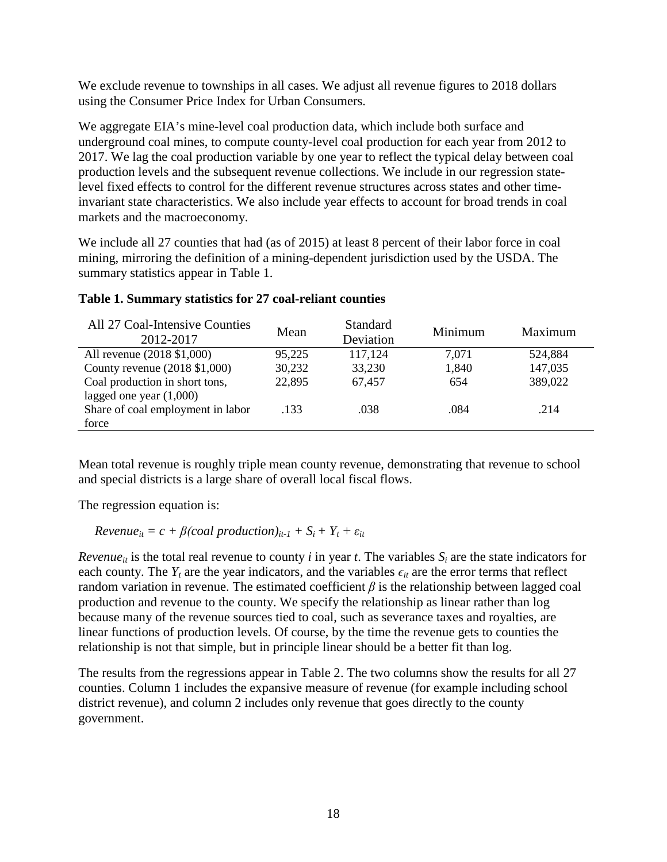We exclude revenue to townships in all cases. We adjust all revenue figures to 2018 dollars using the Consumer Price Index for Urban Consumers.

We aggregate EIA's mine-level coal production data, which include both surface and underground coal mines, to compute county-level coal production for each year from 2012 to 2017. We lag the coal production variable by one year to reflect the typical delay between coal production levels and the subsequent revenue collections. We include in our regression statelevel fixed effects to control for the different revenue structures across states and other timeinvariant state characteristics. We also include year effects to account for broad trends in coal markets and the macroeconomy.

We include all 27 counties that had (as of 2015) at least 8 percent of their labor force in coal mining, mirroring the definition of a mining-dependent jurisdiction used by the USDA. The summary statistics appear in [Table 1.](#page-17-0)

| All 27 Coal-Intensive Counties<br>2012-2017 | Mean   | <b>Standard</b><br>Deviation | Minimum | Maximum |
|---------------------------------------------|--------|------------------------------|---------|---------|
| All revenue (2018 \$1,000)                  | 95,225 | 117,124                      | 7.071   | 524,884 |
| County revenue $(2018 \text{ $1,000})$      | 30,232 | 33,230                       | 1,840   | 147,035 |
| Coal production in short tons,              | 22,895 | 67,457                       | 654     | 389,022 |
| lagged one year $(1,000)$                   |        |                              |         |         |
| Share of coal employment in labor           | .133   | .038                         | .084    | .214    |
| force                                       |        |                              |         |         |

#### <span id="page-17-0"></span>**Table 1. Summary statistics for 27 coal-reliant counties**

Mean total revenue is roughly triple mean county revenue, demonstrating that revenue to school and special districts is a large share of overall local fiscal flows.

The regression equation is:

 $Revenue_{it} = c + \beta (coal production)_{it-1} + S_i + Y_t + \varepsilon_{it}$ 

*Revenue<sub>it</sub>* is the total real revenue to county *i* in year *t*. The variables  $S_i$  are the state indicators for each county. The  $Y_t$  are the year indicators, and the variables  $\epsilon_{it}$  are the error terms that reflect random variation in revenue. The estimated coefficient *β* is the relationship between lagged coal production and revenue to the county. We specify the relationship as linear rather than log because many of the revenue sources tied to coal, such as severance taxes and royalties, are linear functions of production levels. Of course, by the time the revenue gets to counties the relationship is not that simple, but in principle linear should be a better fit than log.

<span id="page-17-1"></span>The results from the regressions appear in [Table 2](#page-17-1). The two columns show the results for all 27 counties. Column 1 includes the expansive measure of revenue (for example including school district revenue), and column 2 includes only revenue that goes directly to the county government.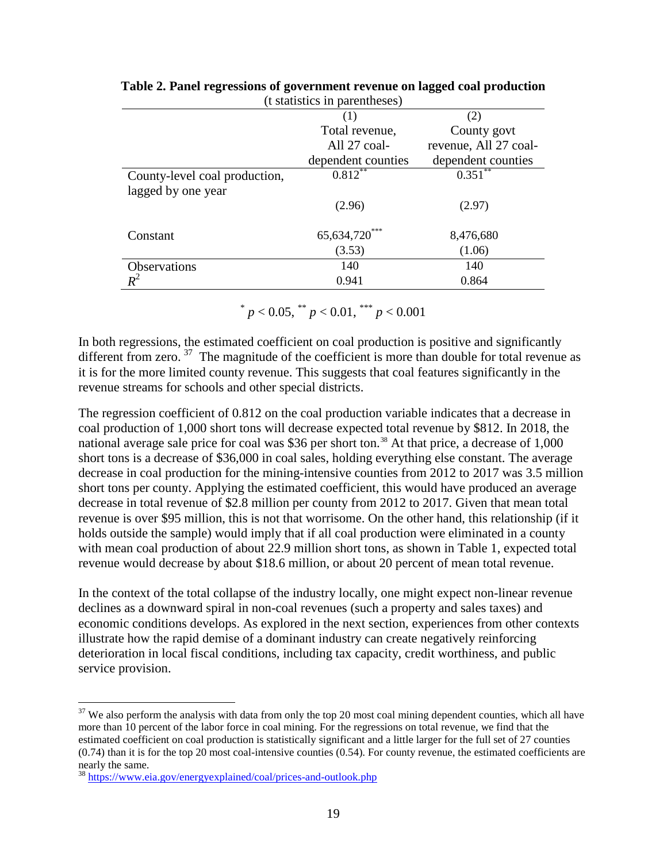| t statistics in parentheses)  |                         |                       |  |  |  |
|-------------------------------|-------------------------|-----------------------|--|--|--|
|                               | (1)                     | (2)                   |  |  |  |
|                               | Total revenue,          | County govt           |  |  |  |
|                               | All 27 coal-            | revenue, All 27 coal- |  |  |  |
|                               | dependent counties      | dependent counties    |  |  |  |
| County-level coal production, | $0.8\overline{12}^{**}$ | 0.351                 |  |  |  |
| lagged by one year            |                         |                       |  |  |  |
|                               | (2.96)                  | (2.97)                |  |  |  |
| Constant                      | 65, 634, 720***         | 8,476,680             |  |  |  |
|                               | (3.53)                  | (1.06)                |  |  |  |
| <b>Observations</b>           | 140                     | 140                   |  |  |  |
| $R^2$                         | 0.941                   | 0.864                 |  |  |  |
|                               |                         |                       |  |  |  |

| Table 2. Panel regressions of government revenue on lagged coal production |  |
|----------------------------------------------------------------------------|--|
| (t statistics in parentheses)                                              |  |

 $p < 0.05$ ,  $p < 0.01$ ,  $p < 0.001$ 

In both regressions, the estimated coefficient on coal production is positive and significantly different from zero.  $37$  The magnitude of the coefficient is more than double for total revenue as it is for the more limited county revenue. This suggests that coal features significantly in the revenue streams for schools and other special districts.

The regression coefficient of 0.812 on the coal production variable indicates that a decrease in coal production of 1,000 short tons will decrease expected total revenue by \$812. In 2018, the national average sale price for coal was \$36 per short ton.<sup>[38](#page-18-1)</sup> At that price, a decrease of 1,000 short tons is a decrease of \$36,000 in coal sales, holding everything else constant. The average decrease in coal production for the mining-intensive counties from 2012 to 2017 was 3.5 million short tons per county. Applying the estimated coefficient, this would have produced an average decrease in total revenue of \$2.8 million per county from 2012 to 2017. Given that mean total revenue is over \$95 million, this is not that worrisome. On the other hand, this relationship (if it holds outside the sample) would imply that if all coal production were eliminated in a county with mean coal production of about 22.9 million short tons, as shown in [Table 1,](#page-17-0) expected total revenue would decrease by about \$18.6 million, or about 20 percent of mean total revenue.

In the context of the total collapse of the industry locally, one might expect non-linear revenue declines as a downward spiral in non-coal revenues (such a property and sales taxes) and economic conditions develops. As explored in the next section, experiences from other contexts illustrate how the rapid demise of a dominant industry can create negatively reinforcing deterioration in local fiscal conditions, including tax capacity, credit worthiness, and public service provision.

<span id="page-18-0"></span> $37$  We also perform the analysis with data from only the top 20 most coal mining dependent counties, which all have more than 10 percent of the labor force in coal mining. For the regressions on total revenue, we find that the estimated coefficient on coal production is statistically significant and a little larger for the full set of 27 counties  $(0.74)$  than it is for the top 20 most coal-intensive counties  $(0.54)$ . For county revenue, the estimated coefficients are nearly the same.

<span id="page-18-1"></span><sup>38</sup> <https://www.eia.gov/energyexplained/coal/prices-and-outlook.php>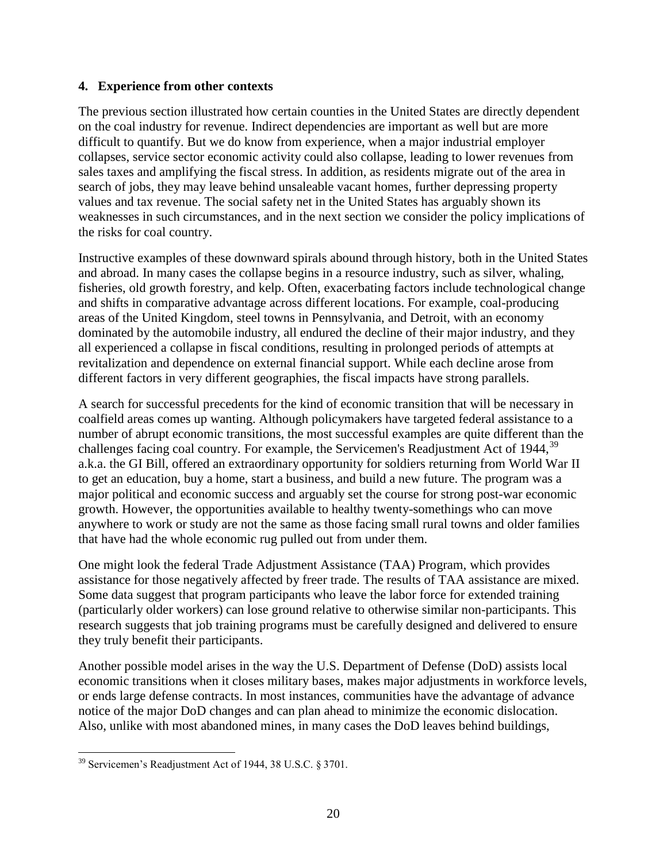#### **4. Experience from other contexts**

The previous section illustrated how certain counties in the United States are directly dependent on the coal industry for revenue. Indirect dependencies are important as well but are more difficult to quantify. But we do know from experience, when a major industrial employer collapses, service sector economic activity could also collapse, leading to lower revenues from sales taxes and amplifying the fiscal stress. In addition, as residents migrate out of the area in search of jobs, they may leave behind unsaleable vacant homes, further depressing property values and tax revenue. The social safety net in the United States has arguably shown its weaknesses in such circumstances, and in the next section we consider the policy implications of the risks for coal country.

Instructive examples of these downward spirals abound through history, both in the United States and abroad. In many cases the collapse begins in a resource industry, such as silver, whaling, fisheries, old growth forestry, and kelp. Often, exacerbating factors include technological change and shifts in comparative advantage across different locations. For example, coal-producing areas of the United Kingdom, steel towns in Pennsylvania, and Detroit, with an economy dominated by the automobile industry, all endured the decline of their major industry, and they all experienced a collapse in fiscal conditions, resulting in prolonged periods of attempts at revitalization and dependence on external financial support. While each decline arose from different factors in very different geographies, the fiscal impacts have strong parallels.

A search for successful precedents for the kind of economic transition that will be necessary in coalfield areas comes up wanting. Although policymakers have targeted federal assistance to a number of abrupt economic transitions, the most successful examples are quite different than the challenges facing coal country. For example, the Servicemen's Readjustment Act of 1944,<sup>[39](#page-19-0)</sup> a.k.a. the GI Bill, offered an extraordinary opportunity for soldiers returning from World War II to get an education, buy a home, start a business, and build a new future. The program was a major political and economic success and arguably set the course for strong post-war economic growth. However, the opportunities available to healthy twenty-somethings who can move anywhere to work or study are not the same as those facing small rural towns and older families that have had the whole economic rug pulled out from under them.

One might look the federal Trade Adjustment Assistance (TAA) Program, which provides assistance for those negatively affected by freer trade. The results of TAA assistance are mixed. Some data suggest that program participants who leave the labor force for extended training (particularly older workers) can lose ground relative to otherwise similar non-participants. This research suggests that job training programs must be carefully designed and delivered to ensure they truly benefit their participants.

Another possible model arises in the way the U.S. Department of Defense (DoD) assists local economic transitions when it closes military bases, makes major adjustments in workforce levels, or ends large defense contracts. In most instances, communities have the advantage of advance notice of the major DoD changes and can plan ahead to minimize the economic dislocation. Also, unlike with most abandoned mines, in many cases the DoD leaves behind buildings,

<span id="page-19-0"></span><sup>39</sup> Servicemen's Readjustment Act of 1944, 38 U.S.C. § 3701.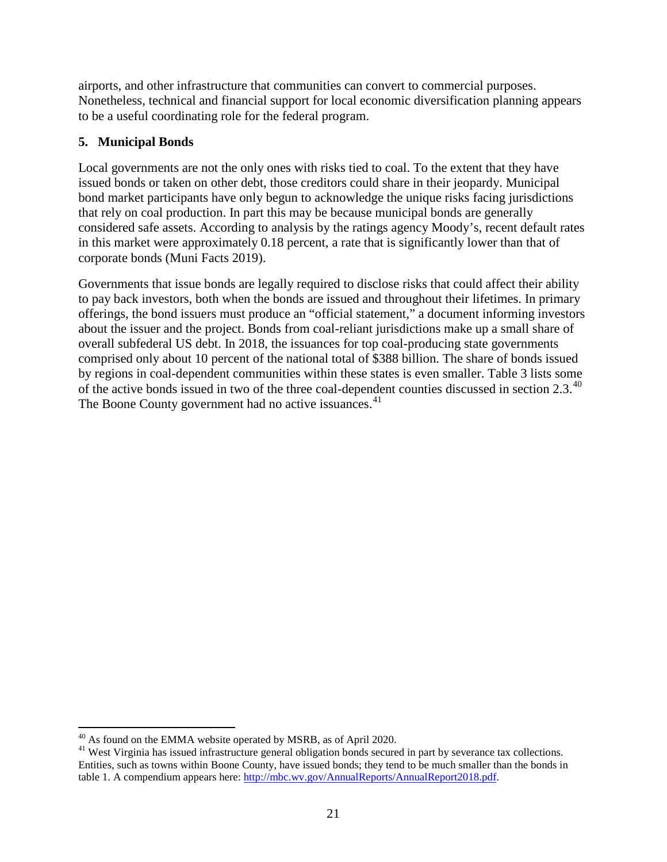airports, and other infrastructure that communities can convert to commercial purposes. Nonetheless, technical and financial support for local economic diversification planning appears to be a useful coordinating role for the federal program.

# **5. Municipal Bonds**

Local governments are not the only ones with risks tied to coal. To the extent that they have issued bonds or taken on other debt, those creditors could share in their jeopardy. Municipal bond market participants have only begun to acknowledge the unique risks facing jurisdictions that rely on coal production. In part this may be because municipal bonds are generally considered safe assets. According to analysis by the ratings agency Moody's, recent default rates in this market were approximately 0.18 percent, a rate that is significantly lower than that of corporate bonds (Muni Facts 2019).

<span id="page-20-0"></span>Governments that issue bonds are legally required to disclose risks that could affect their ability to pay back investors, both when the bonds are issued and throughout their lifetimes. In primary offerings, the bond issuers must produce an "official statement," a document informing investors about the issuer and the project. Bonds from coal-reliant jurisdictions make up a small share of overall subfederal US debt. In 2018, the issuances for top coal-producing state governments comprised only about 10 percent of the national total of \$388 billion. The share of bonds issued by regions in coal-dependent communities within these states is even smaller. [Table 3](#page-20-0) lists some of the active bonds issued in two of the three coal-dependent counties discussed in section 2.3.<sup>[40](#page-20-1)</sup> The Boone County government had no active issuances.<sup>[41](#page-20-2)</sup>

<span id="page-20-2"></span><span id="page-20-1"></span>

 $^{40}$  As found on the EMMA website operated by MSRB, as of April 2020.<br><sup>41</sup> West Virginia has issued infrastructure general obligation bonds secured in part by severance tax collections. Entities, such as towns within Boone County, have issued bonds; they tend to be much smaller than the bonds in table 1. A compendium appears here: [http://mbc.wv.gov/AnnualReports/AnnualReport2018.pdf.](http://mbc.wv.gov/AnnualReports/AnnualReport2018.pdf)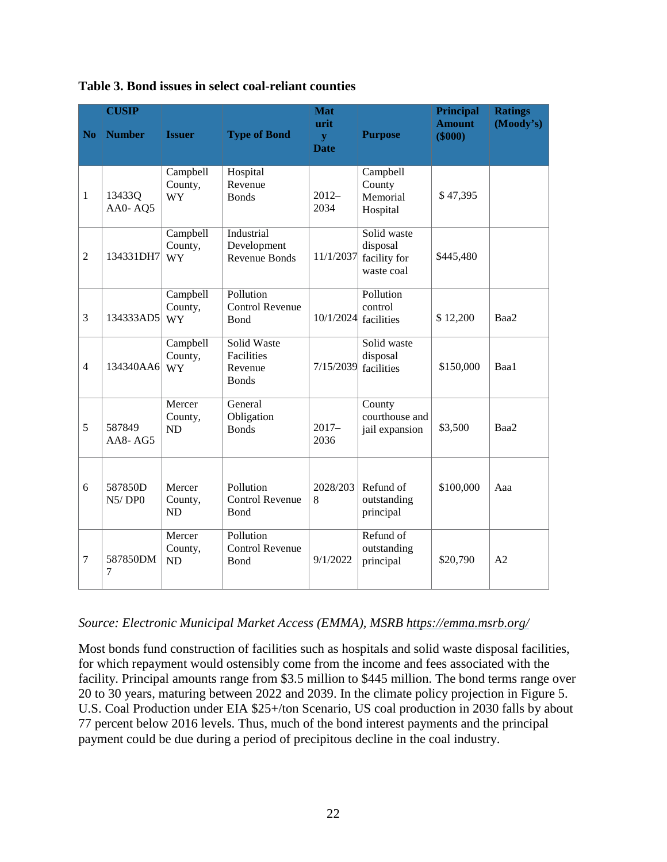| N <sub>0</sub>   | <b>CUSIP</b><br><b>Number</b> | <b>Issuer</b>                    | <b>Type of Bond</b>                                  | <b>Mat</b><br>urit<br>$\mathbf{V}$<br><b>Date</b> | <b>Purpose</b>                                        | <b>Principal</b><br><b>Amount</b><br>$(\$000)$ | <b>Ratings</b><br>(Moody's) |
|------------------|-------------------------------|----------------------------------|------------------------------------------------------|---------------------------------------------------|-------------------------------------------------------|------------------------------------------------|-----------------------------|
| $\mathbf{1}$     | 13433Q<br>AA0-AQ5             | Campbell<br>County,<br><b>WY</b> | Hospital<br>Revenue<br><b>Bonds</b>                  | $2012-$<br>2034                                   | Campbell<br>County<br>Memorial<br>Hospital            | \$47,395                                       |                             |
| $\overline{2}$   | 134331DH7                     | Campbell<br>County,<br><b>WY</b> | Industrial<br>Development<br><b>Revenue Bonds</b>    | 11/1/2037                                         | Solid waste<br>disposal<br>facility for<br>waste coal | \$445,480                                      |                             |
| 3                | 134333AD5                     | Campbell<br>County,<br><b>WY</b> | Pollution<br><b>Control Revenue</b><br><b>Bond</b>   | 10/1/2024                                         | Pollution<br>control<br>facilities                    | \$12,200                                       | Baa2                        |
| $\overline{4}$   | 134340AA6                     | Campbell<br>County,<br><b>WY</b> | Solid Waste<br>Facilities<br>Revenue<br><b>Bonds</b> | 7/15/2039                                         | Solid waste<br>disposal<br>facilities                 | \$150,000                                      | Baa1                        |
| 5                | 587849<br>AA8-AG5             | Mercer<br>County,<br><b>ND</b>   | General<br>Obligation<br><b>Bonds</b>                | $2017 -$<br>2036                                  | County<br>courthouse and<br>jail expansion            | \$3,500                                        | Baa2                        |
| 6                | 587850D<br>N5/DPO             | Mercer<br>County,<br>ND          | Pollution<br><b>Control Revenue</b><br>Bond          | 2028/203<br>8                                     | Refund of<br>outstanding<br>principal                 | \$100,000                                      | Aaa                         |
| $\boldsymbol{7}$ | 587850DM<br>7                 | Mercer<br>County,<br><b>ND</b>   | Pollution<br><b>Control Revenue</b><br>Bond          | 9/1/2022                                          | Refund of<br>outstanding<br>principal                 | \$20,790                                       | A2                          |

**Table 3. Bond issues in select coal-reliant counties**

#### *Source: Electronic Municipal Market Access (EMMA), MSRB<https://emma.msrb.org/>*

Most bonds fund construction of facilities such as hospitals and solid waste disposal facilities, for which repayment would ostensibly come from the income and fees associated with the facility. Principal amounts range from \$3.5 million to \$445 million. The bond terms range over 20 to 30 years, maturing between 2022 and 2039. In the climate policy projection in [Figure 5.](#page-6-0)  [U.S. Coal Production under EIA \\$25+/ton Scenario,](#page-6-0) US coal production in 2030 falls by about 77 percent below 2016 levels. Thus, much of the bond interest payments and the principal payment could be due during a period of precipitous decline in the coal industry.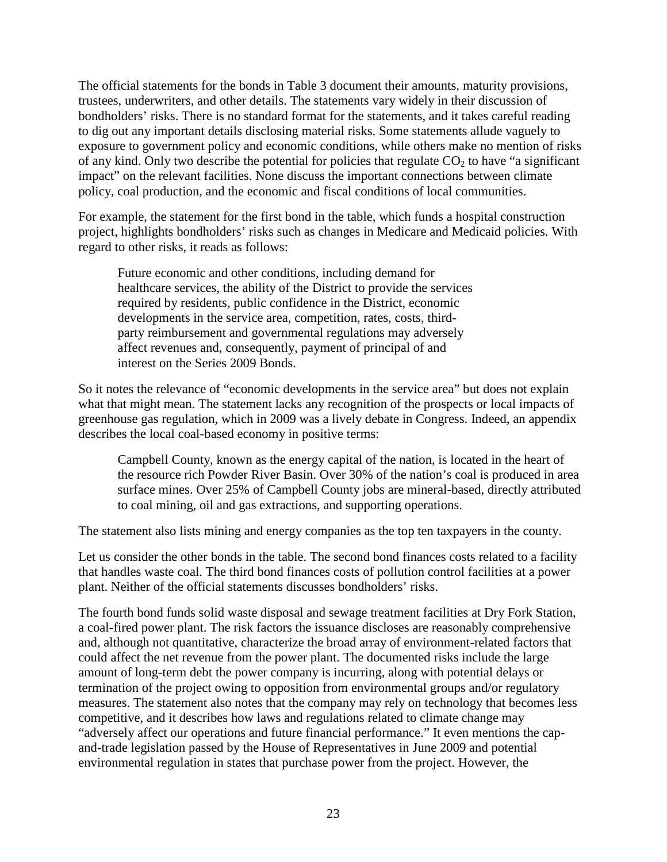The official statements for the bonds in [Table 3](#page-20-0) document their amounts, maturity provisions, trustees, underwriters, and other details. The statements vary widely in their discussion of bondholders' risks. There is no standard format for the statements, and it takes careful reading to dig out any important details disclosing material risks. Some statements allude vaguely to exposure to government policy and economic conditions, while others make no mention of risks of any kind. Only two describe the potential for policies that regulate  $CO<sub>2</sub>$  to have "a significant" impact" on the relevant facilities. None discuss the important connections between climate policy, coal production, and the economic and fiscal conditions of local communities.

For example, the statement for the first bond in the table, which funds a hospital construction project, highlights bondholders' risks such as changes in Medicare and Medicaid policies. With regard to other risks, it reads as follows:

Future economic and other conditions, including demand for healthcare services, the ability of the District to provide the services required by residents, public confidence in the District, economic developments in the service area, competition, rates, costs, thirdparty reimbursement and governmental regulations may adversely affect revenues and, consequently, payment of principal of and interest on the Series 2009 Bonds.

So it notes the relevance of "economic developments in the service area" but does not explain what that might mean. The statement lacks any recognition of the prospects or local impacts of greenhouse gas regulation, which in 2009 was a lively debate in Congress. Indeed, an appendix describes the local coal-based economy in positive terms:

Campbell County, known as the energy capital of the nation, is located in the heart of the resource rich Powder River Basin. Over 30% of the nation's coal is produced in area surface mines. Over 25% of Campbell County jobs are mineral-based, directly attributed to coal mining, oil and gas extractions, and supporting operations.

The statement also lists mining and energy companies as the top ten taxpayers in the county.

Let us consider the other bonds in the table. The second bond finances costs related to a facility that handles waste coal. The third bond finances costs of pollution control facilities at a power plant. Neither of the official statements discusses bondholders' risks.

The fourth bond funds solid waste disposal and sewage treatment facilities at Dry Fork Station, a coal-fired power plant. The risk factors the issuance discloses are reasonably comprehensive and, although not quantitative, characterize the broad array of environment-related factors that could affect the net revenue from the power plant. The documented risks include the large amount of long-term debt the power company is incurring, along with potential delays or termination of the project owing to opposition from environmental groups and/or regulatory measures. The statement also notes that the company may rely on technology that becomes less competitive, and it describes how laws and regulations related to climate change may "adversely affect our operations and future financial performance." It even mentions the capand-trade legislation passed by the House of Representatives in June 2009 and potential environmental regulation in states that purchase power from the project. However, the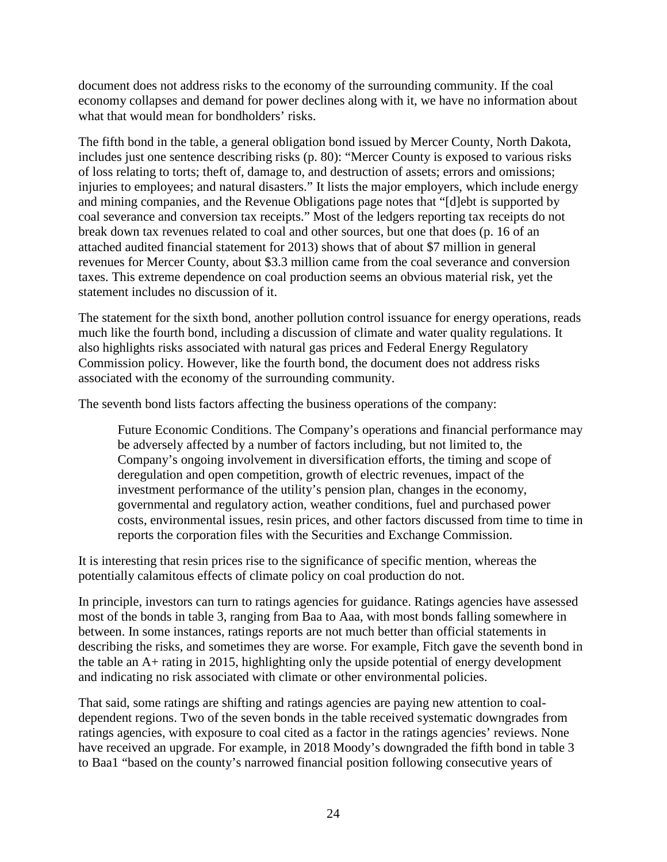document does not address risks to the economy of the surrounding community. If the coal economy collapses and demand for power declines along with it, we have no information about what that would mean for bondholders' risks.

The fifth bond in the table, a general obligation bond issued by Mercer County, North Dakota, includes just one sentence describing risks (p. 80): "Mercer County is exposed to various risks of loss relating to torts; theft of, damage to, and destruction of assets; errors and omissions; injuries to employees; and natural disasters." It lists the major employers, which include energy and mining companies, and the Revenue Obligations page notes that "[d]ebt is supported by coal severance and conversion tax receipts." Most of the ledgers reporting tax receipts do not break down tax revenues related to coal and other sources, but one that does (p. 16 of an attached audited financial statement for 2013) shows that of about \$7 million in general revenues for Mercer County, about \$3.3 million came from the coal severance and conversion taxes. This extreme dependence on coal production seems an obvious material risk, yet the statement includes no discussion of it.

The statement for the sixth bond, another pollution control issuance for energy operations, reads much like the fourth bond, including a discussion of climate and water quality regulations. It also highlights risks associated with natural gas prices and Federal Energy Regulatory Commission policy. However, like the fourth bond, the document does not address risks associated with the economy of the surrounding community.

The seventh bond lists factors affecting the business operations of the company:

Future Economic Conditions. The Company's operations and financial performance may be adversely affected by a number of factors including, but not limited to, the Company's ongoing involvement in diversification efforts, the timing and scope of deregulation and open competition, growth of electric revenues, impact of the investment performance of the utility's pension plan, changes in the economy, governmental and regulatory action, weather conditions, fuel and purchased power costs, environmental issues, resin prices, and other factors discussed from time to time in reports the corporation files with the Securities and Exchange Commission.

It is interesting that resin prices rise to the significance of specific mention, whereas the potentially calamitous effects of climate policy on coal production do not.

In principle, investors can turn to ratings agencies for guidance. Ratings agencies have assessed most of the bonds in table 3, ranging from Baa to Aaa, with most bonds falling somewhere in between. In some instances, ratings reports are not much better than official statements in describing the risks, and sometimes they are worse. For example, Fitch gave the seventh bond in the table an A+ rating in 2015, highlighting only the upside potential of energy development and indicating no risk associated with climate or other environmental policies.

That said, some ratings are shifting and ratings agencies are paying new attention to coaldependent regions. Two of the seven bonds in the table received systematic downgrades from ratings agencies, with exposure to coal cited as a factor in the ratings agencies' reviews. None have received an upgrade. For example, in 2018 Moody's downgraded the fifth bond in table 3 to Baa1 "based on the county's narrowed financial position following consecutive years of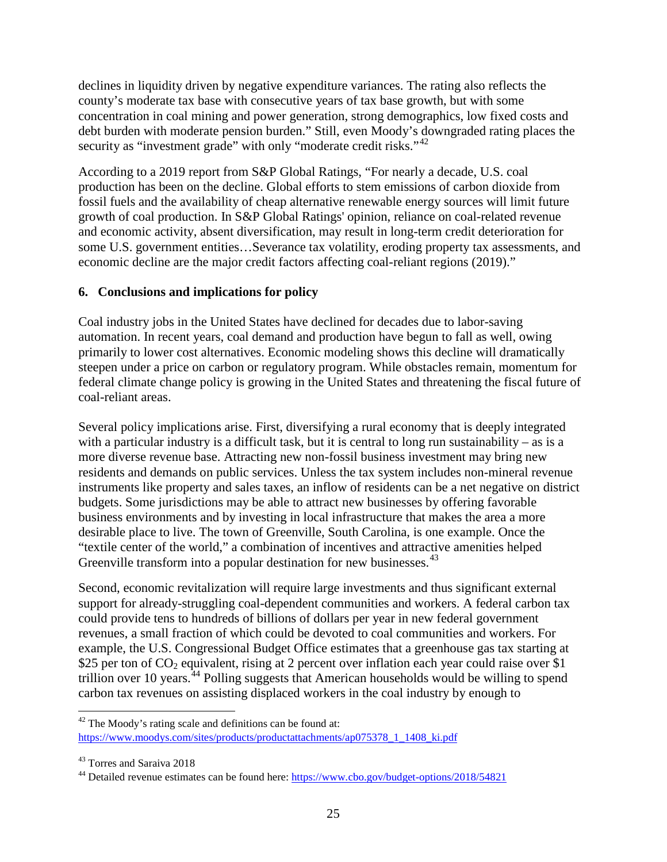declines in liquidity driven by negative expenditure variances. The rating also reflects the county's moderate tax base with consecutive years of tax base growth, but with some concentration in coal mining and power generation, strong demographics, low fixed costs and debt burden with moderate pension burden." Still, even Moody's downgraded rating places the security as "investment grade" with only "moderate credit risks."<sup>[42](#page-24-0)</sup>

According to a 2019 report from S&P Global Ratings, "For nearly a decade, U.S. coal production has been on the decline. Global efforts to stem emissions of carbon dioxide from fossil fuels and the availability of cheap alternative renewable energy sources will limit future growth of coal production. In S&P Global Ratings' opinion, reliance on coal-related revenue and economic activity, absent diversification, may result in long-term credit deterioration for some U.S. government entities…Severance tax volatility, eroding property tax assessments, and economic decline are the major credit factors affecting coal-reliant regions (2019)."

## **6. Conclusions and implications for policy**

Coal industry jobs in the United States have declined for decades due to labor-saving automation. In recent years, coal demand and production have begun to fall as well, owing primarily to lower cost alternatives. Economic modeling shows this decline will dramatically steepen under a price on carbon or regulatory program. While obstacles remain, momentum for federal climate change policy is growing in the United States and threatening the fiscal future of coal-reliant areas.

Several policy implications arise. First, diversifying a rural economy that is deeply integrated with a particular industry is a difficult task, but it is central to long run sustainability – as is a more diverse revenue base. Attracting new non-fossil business investment may bring new residents and demands on public services. Unless the tax system includes non-mineral revenue instruments like property and sales taxes, an inflow of residents can be a net negative on district budgets. Some jurisdictions may be able to attract new businesses by offering favorable business environments and by investing in local infrastructure that makes the area a more desirable place to live. The town of Greenville, South Carolina, is one example. Once the "textile center of the world," a combination of incentives and attractive amenities helped Greenville transform into a popular destination for new businesses.<sup>[43](#page-24-1)</sup>

Second, economic revitalization will require large investments and thus significant external support for already-struggling coal-dependent communities and workers. A federal carbon tax could provide tens to hundreds of billions of dollars per year in new federal government revenues, a small fraction of which could be devoted to coal communities and workers. For example, the U.S. Congressional Budget Office estimates that a greenhouse gas tax starting at \$25 per ton of  $CO_2$  equivalent, rising at 2 percent over inflation each year could raise over \$1 trillion over 10 years.<sup> $44$ </sup> Polling suggests that American households would be willing to spend carbon tax revenues on assisting displaced workers in the coal industry by enough to

<span id="page-24-0"></span>l  $42$  The Moody's rating scale and definitions can be found at: [https://www.moodys.com/sites/products/productattachments/ap075378\\_1\\_1408\\_ki.pdf](https://www.moodys.com/sites/products/productattachments/ap075378_1_1408_ki.pdf)

<span id="page-24-1"></span><sup>43</sup> Torres and Saraiva 2018

<span id="page-24-2"></span><sup>&</sup>lt;sup>44</sup> Detailed revenue estimates can be found here:<https://www.cbo.gov/budget-options/2018/54821>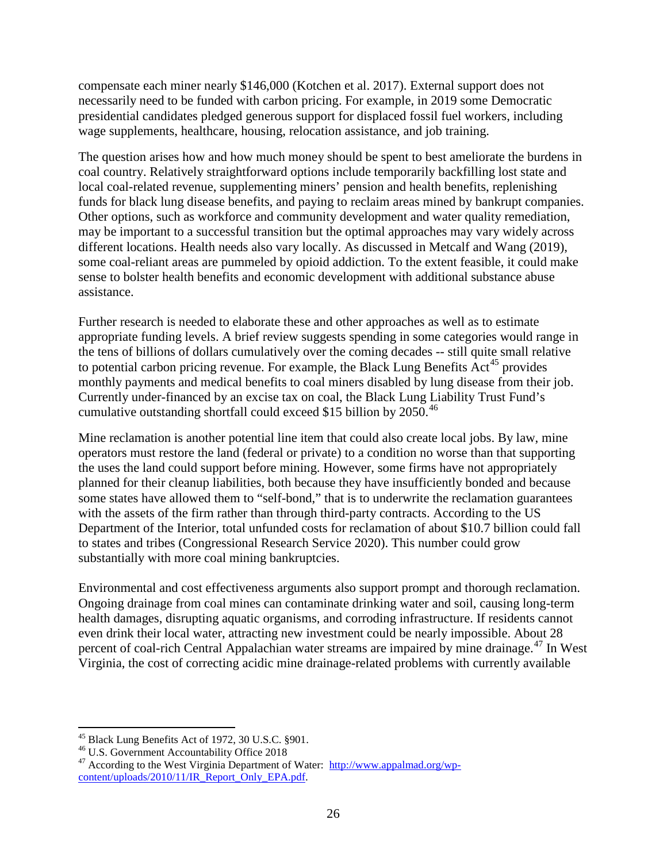compensate each miner nearly \$146,000 (Kotchen et al. 2017). External support does not necessarily need to be funded with carbon pricing. For example, in 2019 some Democratic presidential candidates pledged generous support for displaced fossil fuel workers, including wage supplements, healthcare, housing, relocation assistance, and job training.

The question arises how and how much money should be spent to best ameliorate the burdens in coal country. Relatively straightforward options include temporarily backfilling lost state and local coal-related revenue, supplementing miners' pension and health benefits, replenishing funds for black lung disease benefits, and paying to reclaim areas mined by bankrupt companies. Other options, such as workforce and community development and water quality remediation, may be important to a successful transition but the optimal approaches may vary widely across different locations. Health needs also vary locally. As discussed in Metcalf and Wang (2019), some coal-reliant areas are pummeled by opioid addiction. To the extent feasible, it could make sense to bolster health benefits and economic development with additional substance abuse assistance.

Further research is needed to elaborate these and other approaches as well as to estimate appropriate funding levels. A brief review suggests spending in some categories would range in the tens of billions of dollars cumulatively over the coming decades -- still quite small relative to potential carbon pricing revenue. For example, the Black Lung Benefits  $Act^{45}$  $Act^{45}$  $Act^{45}$  provides monthly payments and medical benefits to coal miners disabled by lung disease from their job. Currently under-financed by an excise tax on coal, the Black Lung Liability Trust Fund's cumulative outstanding shortfall could exceed \$15 billion by 2050.<sup>[46](#page-25-1)</sup>

Mine reclamation is another potential line item that could also create local jobs. By law, mine operators must restore the land (federal or private) to a condition no worse than that supporting the uses the land could support before mining. However, some firms have not appropriately planned for their cleanup liabilities, both because they have insufficiently bonded and because some states have allowed them to "self-bond," that is to underwrite the reclamation guarantees with the assets of the firm rather than through third-party contracts. According to the US Department of the Interior, total unfunded costs for reclamation of about \$10.7 billion could fall to states and tribes (Congressional Research Service 2020). This number could grow substantially with more coal mining bankruptcies.

Environmental and cost effectiveness arguments also support prompt and thorough reclamation. Ongoing drainage from coal mines can contaminate drinking water and soil, causing long-term health damages, disrupting aquatic organisms, and corroding infrastructure. If residents cannot even drink their local water, attracting new investment could be nearly impossible. About 28 percent of coal-rich Central Appalachian water streams are impaired by mine drainage.<sup>[47](#page-25-2)</sup> In West Virginia, the cost of correcting acidic mine drainage-related problems with currently available

<span id="page-25-2"></span>

<span id="page-25-1"></span><span id="page-25-0"></span><sup>&</sup>lt;sup>45</sup> Black Lung Benefits Act of 1972, 30 U.S.C. §901.<br><sup>46</sup> U.S. Government Accountability Office 2018<br><sup>47</sup> According to the West Virginia Department of Water: [http://www.appalmad.org/wp](http://www.appalmad.org/wp-content/uploads/2010/11/IR_Report_Only_EPA.pdf)[content/uploads/2010/11/IR\\_Report\\_Only\\_EPA.pdf.](http://www.appalmad.org/wp-content/uploads/2010/11/IR_Report_Only_EPA.pdf)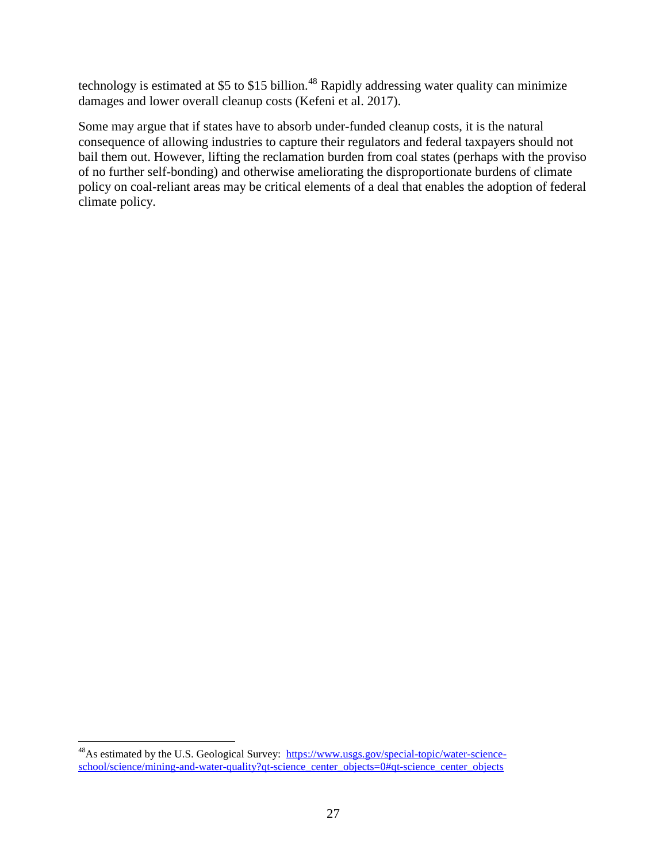technology is estimated at \$5 to \$15 billion.<sup>[48](#page-26-0)</sup> Rapidly addressing water quality can minimize damages and lower overall cleanup costs (Kefeni et al. 2017).

Some may argue that if states have to absorb under-funded cleanup costs, it is the natural consequence of allowing industries to capture their regulators and federal taxpayers should not bail them out. However, lifting the reclamation burden from coal states (perhaps with the proviso of no further self-bonding) and otherwise ameliorating the disproportionate burdens of climate policy on coal-reliant areas may be critical elements of a deal that enables the adoption of federal climate policy.

<span id="page-26-0"></span><sup>&</sup>lt;sup>48</sup>As estimated by the U.S. Geological Survey: [https://www.usgs.gov/special-topic/water-science](https://www.usgs.gov/special-topic/water-science-school/science/mining-and-water-quality?qt-science_center_objects=0#qt-science_center_objects)[school/science/mining-and-water-quality?qt-science\\_center\\_objects=0#qt-science\\_center\\_objects](https://www.usgs.gov/special-topic/water-science-school/science/mining-and-water-quality?qt-science_center_objects=0#qt-science_center_objects)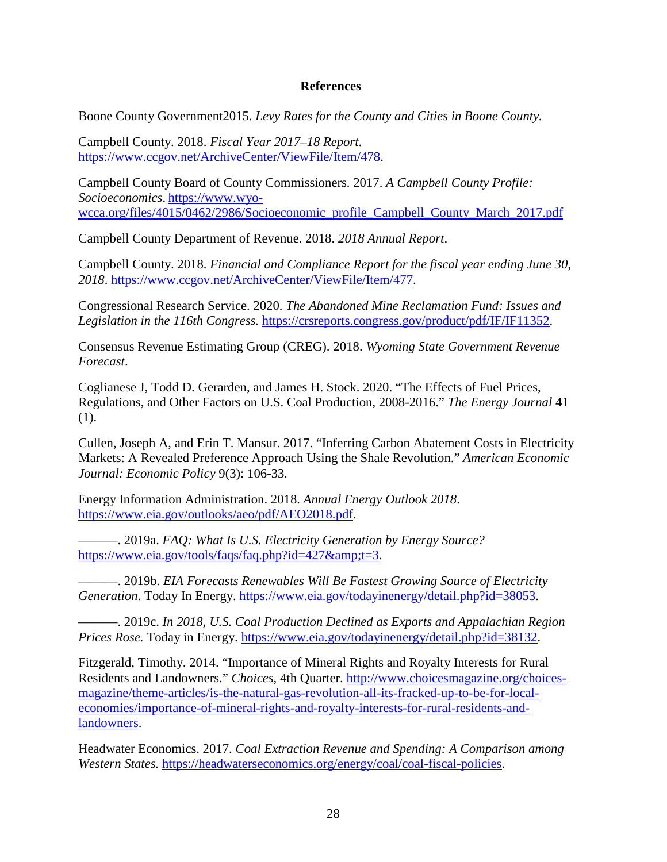#### **References**

Boone County Government2015. *Levy Rates for the County and Cities in Boone County.*

Campbell County. 2018. *Fiscal Year 2017–18 Report*. [https://www.ccgov.net/ArchiveCenter/ViewFile/Item/478.](https://www.ccgov.net/ArchiveCenter/ViewFile/Item/478)

Campbell County Board of County Commissioners. 2017. *A Campbell County Profile: Socioeconomics*. [https://www.wyo](https://www.wyo-wcca.org/files/4015/0462/2986/Socioeconomic_profile_Campbell_County_March_2017.pdf)[wcca.org/files/4015/0462/2986/Socioeconomic\\_profile\\_Campbell\\_County\\_March\\_2017.pdf](https://www.wyo-wcca.org/files/4015/0462/2986/Socioeconomic_profile_Campbell_County_March_2017.pdf)

Campbell County Department of Revenue. 2018. *2018 Annual Report*.

Campbell County. 2018. *Financial and Compliance Report for the fiscal year ending June 30, 2018*. [https://www.ccgov.net/ArchiveCenter/ViewFile/Item/477.](https://www.ccgov.net/ArchiveCenter/ViewFile/Item/477)

Congressional Research Service. 2020. *The Abandoned Mine Reclamation Fund: Issues and*  Legislation in the 116th Congress. [https://crsreports.congress.gov/product/pdf/IF/IF11352.](https://crsreports.congress.gov/product/pdf/IF/IF11352)

Consensus Revenue Estimating Group (CREG). 2018. *Wyoming State Government Revenue Forecast*.

Coglianese J, Todd D. Gerarden, and James H. Stock. 2020. "The Effects of Fuel Prices, Regulations, and Other Factors on U.S. Coal Production, 2008-2016." *The Energy Journal* 41 (1).

Cullen, Joseph A, and Erin T. Mansur. 2017. "Inferring Carbon Abatement Costs in Electricity Markets: A Revealed Preference Approach Using the Shale Revolution." *American Economic Journal: Economic Policy* 9(3): 106-33*.* 

Energy Information Administration. 2018. *Annual Energy Outlook 2018*. [https://www.eia.gov/outlooks/aeo/pdf/AEO2018.pdf.](https://www.eia.gov/outlooks/aeo/pdf/AEO2018.pdf)

———. 2019a. *FAQ: What Is U.S. Electricity Generation by Energy Source?* https://www.eia.gov/tools/faqs/faq.php?id=427 $\&t=3$ .

———. 2019b. *EIA Forecasts Renewables Will Be Fastest Growing Source of Electricity Generation*. Today In Energy. [https://www.eia.gov/todayinenergy/detail.php?id=38053.](https://www.eia.gov/todayinenergy/detail.php?id=38053)

———. 2019c. *In 2018, U.S. Coal Production Declined as Exports and Appalachian Region Prices Rose.* Today in Energy. [https://www.eia.gov/todayinenergy/detail.php?id=38132.](https://www.eia.gov/todayinenergy/detail.php?id=38132)

Fitzgerald, Timothy. 2014. "Importance of Mineral Rights and Royalty Interests for Rural Residents and Landowners." *Choices,* 4th Quarter. [http://www.choicesmagazine.org/choices](http://www.choicesmagazine.org/choices-magazine/theme-articles/is-the-natural-gas-revolution-all-its-fracked-up-to-be-for-local-economies/importance-of-mineral-rights-and-royalty-interests-for-rural-residents-and-landowners)[magazine/theme-articles/is-the-natural-gas-revolution-all-its-fracked-up-to-be-for-local](http://www.choicesmagazine.org/choices-magazine/theme-articles/is-the-natural-gas-revolution-all-its-fracked-up-to-be-for-local-economies/importance-of-mineral-rights-and-royalty-interests-for-rural-residents-and-landowners)[economies/importance-of-mineral-rights-and-royalty-interests-for-rural-residents-and](http://www.choicesmagazine.org/choices-magazine/theme-articles/is-the-natural-gas-revolution-all-its-fracked-up-to-be-for-local-economies/importance-of-mineral-rights-and-royalty-interests-for-rural-residents-and-landowners)[landowners.](http://www.choicesmagazine.org/choices-magazine/theme-articles/is-the-natural-gas-revolution-all-its-fracked-up-to-be-for-local-economies/importance-of-mineral-rights-and-royalty-interests-for-rural-residents-and-landowners)

Headwater Economics. 2017. *Coal Extraction Revenue and Spending: A Comparison among Western States.* [https://headwaterseconomics.org/energy/coal/coal-fiscal-policies.](https://headwaterseconomics.org/energy/coal/coal-fiscal-policies)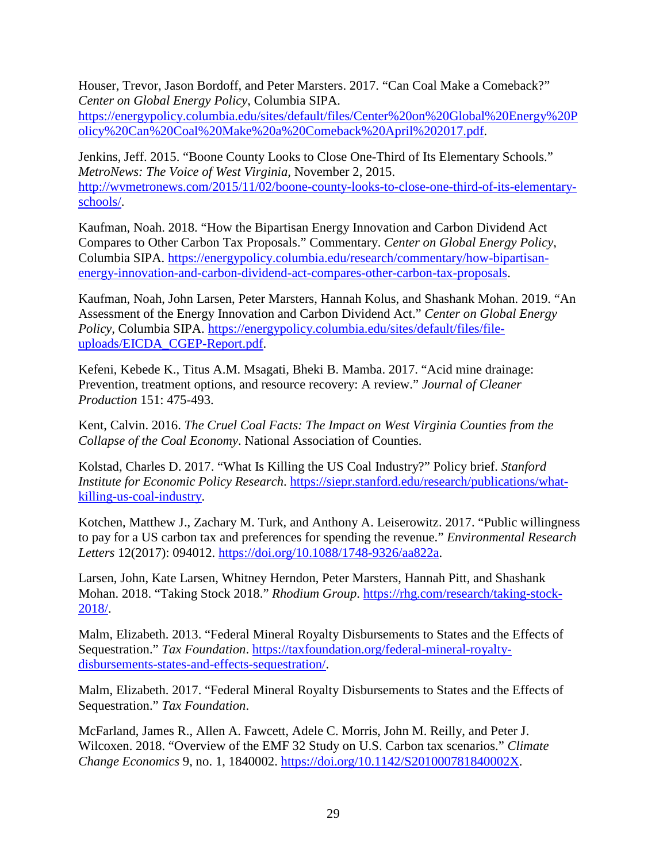Houser, Trevor, Jason Bordoff, and Peter Marsters. 2017. "Can Coal Make a Comeback?" *Center on Global Energy Policy*, Columbia SIPA.

[https://energypolicy.columbia.edu/sites/default/files/Center%20on%20Global%20Energy%20P](https://energypolicy.columbia.edu/sites/default/files/Center%20on%20Global%20Energy%20Policy%20Can%20Coal%20Make%20a%20Comeback%20April%202017.pdf) [olicy%20Can%20Coal%20Make%20a%20Comeback%20April%202017.pdf.](https://energypolicy.columbia.edu/sites/default/files/Center%20on%20Global%20Energy%20Policy%20Can%20Coal%20Make%20a%20Comeback%20April%202017.pdf)

Jenkins, Jeff. 2015. "Boone County Looks to Close One-Third of Its Elementary Schools." *MetroNews: The Voice of West Virginia,* November 2, 2015. [http://wvmetronews.com/2015/11/02/boone-county-looks-to-close-one-third-of-its-elementary](http://wvmetronews.com/2015/11/02/boone-county-looks-to-close-one-third-of-its-elementary-schools/)[schools/.](http://wvmetronews.com/2015/11/02/boone-county-looks-to-close-one-third-of-its-elementary-schools/)

Kaufman, Noah. 2018. "How the Bipartisan Energy Innovation and Carbon Dividend Act Compares to Other Carbon Tax Proposals." Commentary. *Center on Global Energy Policy*, Columbia SIPA. [https://energypolicy.columbia.edu/research/commentary/how-bipartisan](https://energypolicy.columbia.edu/research/commentary/how-bipartisan-energy-innovation-and-carbon-dividend-act-compares-other-carbon-tax-proposals)[energy-innovation-and-carbon-dividend-act-compares-other-carbon-tax-proposals.](https://energypolicy.columbia.edu/research/commentary/how-bipartisan-energy-innovation-and-carbon-dividend-act-compares-other-carbon-tax-proposals)

Kaufman, Noah, John Larsen, Peter Marsters, Hannah Kolus, and Shashank Mohan. 2019. "An Assessment of the Energy Innovation and Carbon Dividend Act." *Center on Global Energy Policy,* Columbia SIPA. [https://energypolicy.columbia.edu/sites/default/files/file](https://energypolicy.columbia.edu/sites/default/files/file-uploads/EICDA_CGEP-Report.pdf)[uploads/EICDA\\_CGEP-Report.pdf.](https://energypolicy.columbia.edu/sites/default/files/file-uploads/EICDA_CGEP-Report.pdf)

Kefeni, Kebede K., Titus A.M. Msagati, Bheki B. Mamba. 2017. "Acid mine drainage: Prevention, treatment options, and resource recovery: A review." *Journal of Cleaner Production* 151: 475-493.

Kent, Calvin. 2016. *The Cruel Coal Facts: The Impact on West Virginia Counties from the Collapse of the Coal Economy*. National Association of Counties.

Kolstad, Charles D. 2017. "What Is Killing the US Coal Industry?" Policy brief. *Stanford Institute for Economic Policy Research*. [https://siepr.stanford.edu/research/publications/what](https://siepr.stanford.edu/research/publications/what-killing-us-coal-industry)[killing-us-coal-industry.](https://siepr.stanford.edu/research/publications/what-killing-us-coal-industry)

Kotchen, Matthew J., Zachary M. Turk, and Anthony A. Leiserowitz. 2017. "Public willingness to pay for a US carbon tax and preferences for spending the revenue." *Environmental Research Letters* 12(2017): 094012. [https://doi.org/10.1088/1748-9326/aa822a.](https://doi.org/10.1088/1748-9326/aa822a)

Larsen, John, Kate Larsen, Whitney Herndon, Peter Marsters, Hannah Pitt, and Shashank Mohan. 2018. "Taking Stock 2018." *Rhodium Group*. [https://rhg.com/research/taking-stock-](https://rhg.com/research/taking-stock-2018/)[2018/.](https://rhg.com/research/taking-stock-2018/)

Malm, Elizabeth. 2013. "Federal Mineral Royalty Disbursements to States and the Effects of Sequestration." *Tax Foundation*. [https://taxfoundation.org/federal-mineral-royalty](https://taxfoundation.org/federal-mineral-royalty-disbursements-states-and-effects-sequestration/)[disbursements-states-and-effects-sequestration/.](https://taxfoundation.org/federal-mineral-royalty-disbursements-states-and-effects-sequestration/)

Malm, Elizabeth. 2017. "Federal Mineral Royalty Disbursements to States and the Effects of Sequestration." *Tax Foundation*.

McFarland, James R., Allen A. Fawcett, Adele C. Morris, John M. Reilly, and Peter J. Wilcoxen. 2018. "Overview of the EMF 32 Study on U.S. Carbon tax scenarios." *Climate Change Economics* 9, no. 1, 1840002. [https://doi.org/10.1142/S201000781840002X.](https://doi.org/10.1142/S201000781840002X)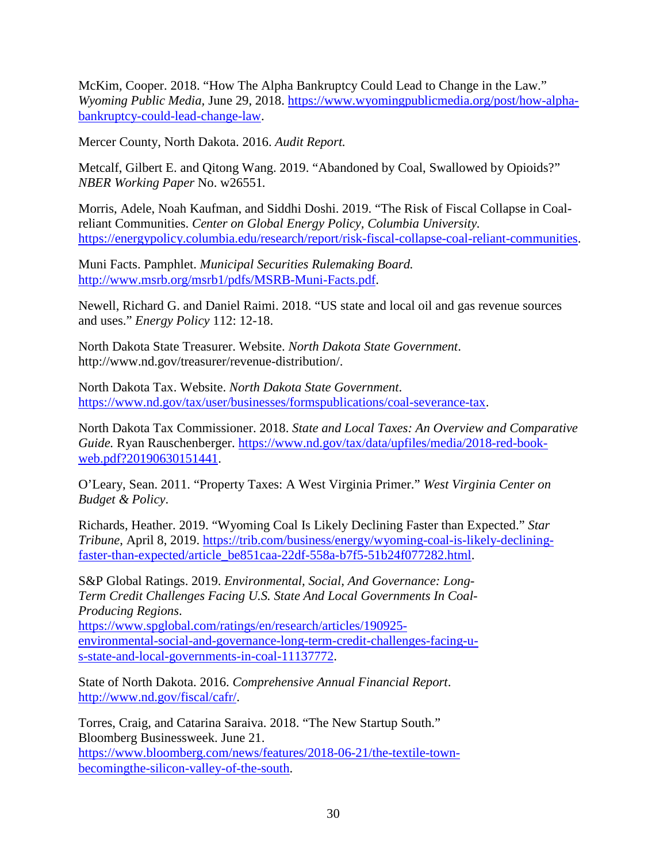McKim, Cooper. 2018. "How The Alpha Bankruptcy Could Lead to Change in the Law." *Wyoming Public Media,* June 29, 2018. [https://www.wyomingpublicmedia.org/post/how-alpha](https://www.wyomingpublicmedia.org/post/how-alpha-bankruptcy-could-lead-change-law)[bankruptcy-could-lead-change-law.](https://www.wyomingpublicmedia.org/post/how-alpha-bankruptcy-could-lead-change-law)

Mercer County, North Dakota. 2016. *Audit Report.*

Metcalf, Gilbert E. and Qitong Wang. 2019. "Abandoned by Coal, Swallowed by Opioids?" *NBER Working Paper* No. w26551*.*

Morris, Adele, Noah Kaufman, and Siddhi Doshi. 2019. "The Risk of Fiscal Collapse in Coalreliant Communities. *Center on Global Energy Policy, Columbia University.* [https://energypolicy.columbia.edu/research/report/risk-fiscal-collapse-coal-reliant-communities.](https://energypolicy.columbia.edu/research/report/risk-fiscal-collapse-coal-reliant-communities)

Muni Facts. Pamphlet. *Municipal Securities Rulemaking Board.* [http://www.msrb.org/msrb1/pdfs/MSRB-Muni-Facts.pdf.](http://www.msrb.org/msrb1/pdfs/MSRB-Muni-Facts.pdf)

Newell, Richard G. and Daniel Raimi. 2018. "US state and local oil and gas revenue sources and uses." *Energy Policy* 112: 12-18.

North Dakota State Treasurer. Website. *North Dakota State Government*. [http://www.nd.gov/treasurer/revenue-distribution/.](http://www.nd.gov/treasurer/revenue-distribution/)

North Dakota Tax. Website. *North Dakota State Government*. [https://www.nd.gov/tax/user/businesses/formspublications/coal-severance-tax.](https://www.nd.gov/tax/user/businesses/formspublications/coal-severance-tax)

North Dakota Tax Commissioner. 2018. *State and Local Taxes: An Overview and Comparative Guide.* Ryan Rauschenberger. [https://www.nd.gov/tax/data/upfiles/media/2018-red-book](https://www.nd.gov/tax/data/upfiles/media/2018-red-book-web.pdf?20190630151441)[web.pdf?20190630151441.](https://www.nd.gov/tax/data/upfiles/media/2018-red-book-web.pdf?20190630151441)

O'Leary, Sean. 2011. "Property Taxes: A West Virginia Primer." *West Virginia Center on Budget & Policy*.

Richards, Heather. 2019. "Wyoming Coal Is Likely Declining Faster than Expected." *Star Tribune*, April 8, 2019. [https://trib.com/business/energy/wyoming-coal-is-likely-declining](https://trib.com/business/energy/wyoming-coal-is-likely-declining-faster-than-expected/article_be851caa-22df-558a-b7f5-51b24f077282.html)[faster-than-expected/article\\_be851caa-22df-558a-b7f5-51b24f077282.html.](https://trib.com/business/energy/wyoming-coal-is-likely-declining-faster-than-expected/article_be851caa-22df-558a-b7f5-51b24f077282.html)

S&P Global Ratings. 2019. *Environmental, Social, And Governance: Long-Term Credit Challenges Facing U.S. State And Local Governments In Coal-Producing Regions*. [https://www.spglobal.com/ratings/en/research/articles/190925](https://www.spglobal.com/ratings/en/research/articles/190925-environmental-social-and-governance-long-term-credit-challenges-facing-u-s-state-and-local-governments-in-coal-11137772) [environmental-social-and-governance-long-term-credit-challenges-facing-u-](https://www.spglobal.com/ratings/en/research/articles/190925-environmental-social-and-governance-long-term-credit-challenges-facing-u-s-state-and-local-governments-in-coal-11137772)

[s-state-and-local-governments-in-coal-11137772.](https://www.spglobal.com/ratings/en/research/articles/190925-environmental-social-and-governance-long-term-credit-challenges-facing-u-s-state-and-local-governments-in-coal-11137772)

State of North Dakota. 2016. *Comprehensive Annual Financial Report*. [http://www.nd.gov/fiscal/cafr/.](http://www.nd.gov/fiscal/cafr/)

Torres, Craig, and Catarina Saraiva. 2018. "The New Startup South." Bloomberg Businessweek. June 21.

[https://www.bloomberg.com/news/features/2018-06-21/the-textile-town](https://www.bloomberg.com/news/features/2018-06-21/the-textile-town-becomingthe-silicon-valley-of-the-south)[becomingthe-silicon-valley-of-the-south.](https://www.bloomberg.com/news/features/2018-06-21/the-textile-town-becomingthe-silicon-valley-of-the-south)